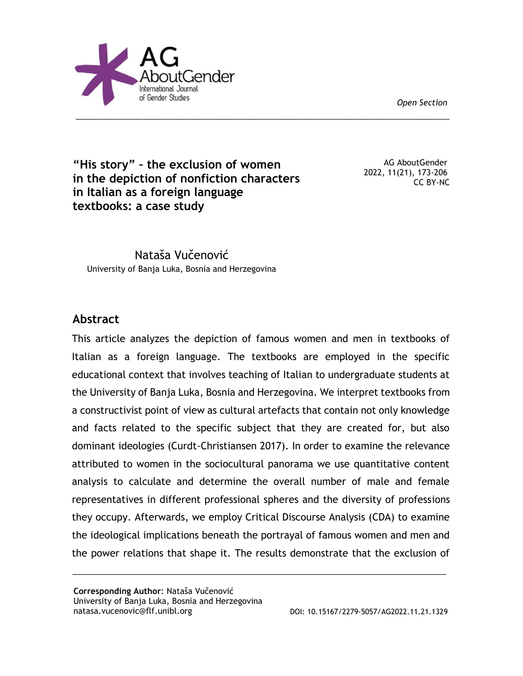*Open Section*



**"His story" – the exclusion of women in the depiction of nonfiction characters in Italian as a foreign language textbooks: a case study** 

AG AboutGender 2022, 11(21), 173-206 CC BY-NC

Nataša Vučenović University of Banja Luka, Bosnia and Herzegovina

# **Abstract**

This article analyzes the depiction of famous women and men in textbooks of Italian as a foreign language. The textbooks are employed in the specific educational context that involves teaching of Italian to undergraduate students at the University of Banja Luka, Bosnia and Herzegovina. We interpret textbooks from a constructivist point of view as cultural artefacts that contain not only knowledge and facts related to the specific subject that they are created for, but also dominant ideologies (Curdt-Christiansen 2017). In order to examine the relevance attributed to women in the sociocultural panorama we use quantitative content analysis to calculate and determine the overall number of male and female representatives in different professional spheres and the diversity of professions they occupy. Afterwards, we employ Critical Discourse Analysis (CDA) to examine the ideological implications beneath the portrayal of famous women and men and the power relations that shape it. The results demonstrate that the exclusion of

\_\_\_\_\_\_\_\_\_\_\_\_\_\_\_\_\_\_\_\_\_\_\_\_\_\_\_\_\_\_\_\_\_\_\_\_\_\_\_\_\_\_\_\_\_\_\_\_\_\_\_\_\_\_\_\_\_\_\_\_\_\_\_\_\_\_\_\_\_\_\_\_\_\_\_\_\_\_\_\_\_\_\_\_\_\_\_\_

\_\_\_\_\_\_\_\_\_\_\_\_\_\_\_\_\_\_\_\_\_\_\_\_\_\_\_\_\_\_\_\_\_\_\_\_\_\_\_\_\_\_\_\_\_\_\_\_\_\_\_\_\_\_\_\_\_\_\_\_\_\_\_\_\_\_\_\_\_\_\_\_\_\_\_\_\_\_\_\_\_\_\_\_\_\_\_\_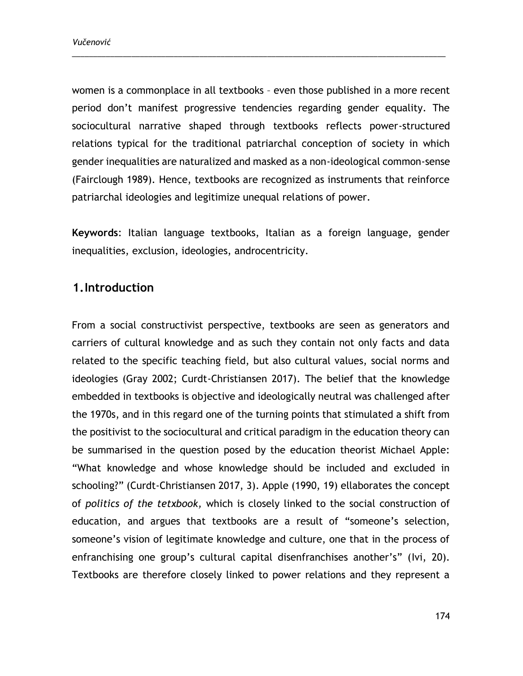women is a commonplace in all textbooks – even those published in a more recent period don't manifest progressive tendencies regarding gender equality. The sociocultural narrative shaped through textbooks reflects power-structured relations typical for the traditional patriarchal conception of society in which gender inequalities are naturalized and masked as a non-ideological common-sense (Fairclough 1989). Hence, textbooks are recognized as instruments that reinforce patriarchal ideologies and legitimize unequal relations of power.

\_\_\_\_\_\_\_\_\_\_\_\_\_\_\_\_\_\_\_\_\_\_\_\_\_\_\_\_\_\_\_\_\_\_\_\_\_\_\_\_\_\_\_\_\_\_\_\_\_\_\_\_\_\_\_\_\_\_\_\_\_\_\_\_\_\_\_\_\_\_\_\_\_\_\_\_\_\_\_\_\_\_\_\_\_\_\_\_

**Keywords**: Italian language textbooks, Italian as a foreign language, gender inequalities, exclusion, ideologies, androcentricity.

## **1.Introduction**

From a social constructivist perspective, textbooks are seen as generators and carriers of cultural knowledge and as such they contain not only facts and data related to the specific teaching field, but also cultural values, social norms and ideologies (Gray 2002; Curdt-Christiansen 2017). The belief that the knowledge embedded in textbooks is objective and ideologically neutral was challenged after the 1970s, and in this regard one of the turning points that stimulated a shift from the positivist to the sociocultural and critical paradigm in the education theory can be summarised in the question posed by the education theorist Michael Apple: "What knowledge and whose knowledge should be included and excluded in schooling?" (Curdt-Christiansen 2017, 3). Apple (1990, 19) ellaborates the concept of *politics of the tetxbook,* which is closely linked to the social construction of education, and argues that textbooks are a result of "someone's selection, someone's vision of legitimate knowledge and culture, one that in the process of enfranchising one group's cultural capital disenfranchises another's" (Ivi, 20). Textbooks are therefore closely linked to power relations and they represent a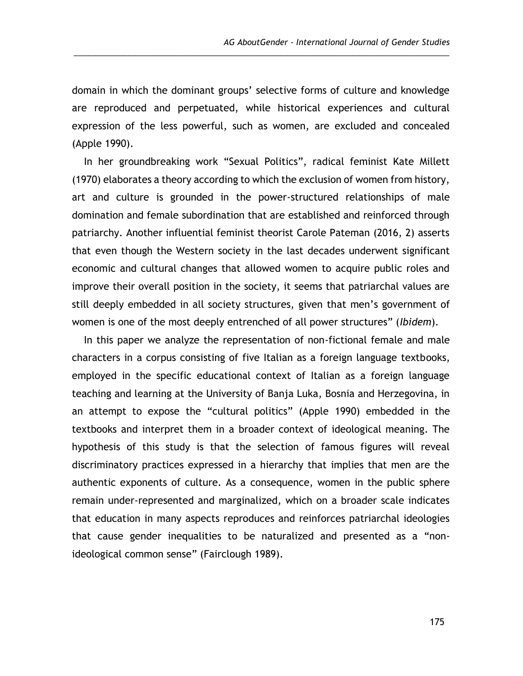domain in which the dominant groups' selective forms of culture and knowledge are reproduced and perpetuated, while historical experiences and cultural expression of the less powerful, such as women, are excluded and concealed (Apple 1990).

\_\_\_\_\_\_\_\_\_\_\_\_\_\_\_\_\_\_\_\_\_\_\_\_\_\_\_\_\_\_\_\_\_\_\_\_\_\_\_\_\_\_\_\_\_\_\_\_\_\_\_\_\_\_\_\_\_\_\_\_\_\_\_\_\_\_\_\_\_\_\_\_\_\_\_\_\_\_\_\_\_\_\_\_

In her groundbreaking work "Sexual Politics", radical feminist Kate Millett (1970) elaborates a theory according to which the exclusion of women from history, art and culture is grounded in the power-structured relationships of male domination and female subordination that are established and reinforced through patriarchy. Another influential feminist theorist Carole Pateman (2016, 2) asserts that even though the Western society in the last decades underwent significant economic and cultural changes that allowed women to acquire public roles and improve their overall position in the society, it seems that patriarchal values are still deeply embedded in all society structures, given that men's government of women is one of the most deeply entrenched of all power structures" (*Ibidem*).

In this paper we analyze the representation of non-fictional female and male characters in a corpus consisting of five Italian as a foreign language textbooks, employed in the specific educational context of Italian as a foreign language teaching and learning at the University of Banja Luka, Bosnia and Herzegovina, in an attempt to expose the "cultural politics" (Apple 1990) embedded in the textbooks and interpret them in a broader context of ideological meaning. The hypothesis of this study is that the selection of famous figures will reveal discriminatory practices expressed in a hierarchy that implies that men are the authentic exponents of culture. As a consequence, women in the public sphere remain under-represented and marginalized, which on a broader scale indicates that education in many aspects reproduces and reinforces patriarchal ideologies that cause gender inequalities to be naturalized and presented as a "nonideological common sense" (Fairclough 1989).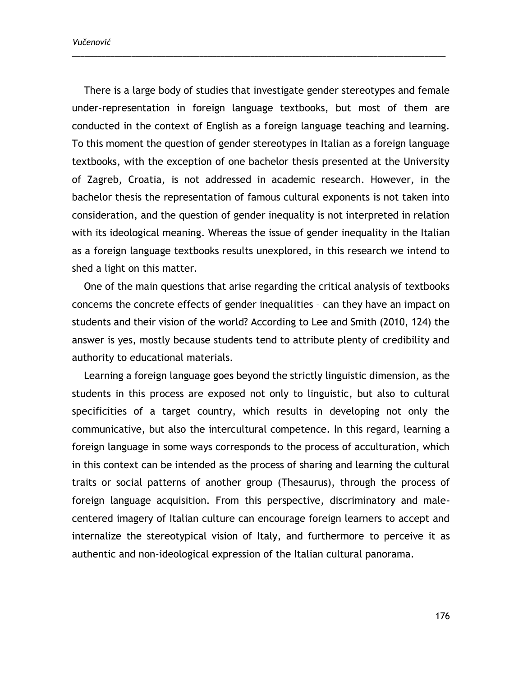*Vučenović*

There is a large body of studies that investigate gender stereotypes and female under-representation in foreign language textbooks, but most of them are conducted in the context of English as a foreign language teaching and learning. To this moment the question of gender stereotypes in Italian as a foreign language textbooks, with the exception of one bachelor thesis presented at the University of Zagreb, Croatia, is not addressed in academic research. However, in the bachelor thesis the representation of famous cultural exponents is not taken into consideration, and the question of gender inequality is not interpreted in relation with its ideological meaning. Whereas the issue of gender inequality in the Italian as a foreign language textbooks results unexplored, in this research we intend to shed a light on this matter.

\_\_\_\_\_\_\_\_\_\_\_\_\_\_\_\_\_\_\_\_\_\_\_\_\_\_\_\_\_\_\_\_\_\_\_\_\_\_\_\_\_\_\_\_\_\_\_\_\_\_\_\_\_\_\_\_\_\_\_\_\_\_\_\_\_\_\_\_\_\_\_\_\_\_\_\_\_\_\_\_\_\_\_\_\_\_\_\_

One of the main questions that arise regarding the critical analysis of textbooks concerns the concrete effects of gender inequalities – can they have an impact on students and their vision of the world? According to Lee and Smith (2010, 124) the answer is yes, mostly because students tend to attribute plenty of credibility and authority to educational materials.

Learning a foreign language goes beyond the strictly linguistic dimension, as the students in this process are exposed not only to linguistic, but also to cultural specificities of a target country, which results in developing not only the communicative, but also the intercultural competence. In this regard, learning a foreign language in some ways corresponds to the process of acculturation, which in this context can be intended as the process of sharing and learning the cultural traits or social patterns of another group (Thesaurus), through the process of foreign language acquisition. From this perspective, discriminatory and malecentered imagery of Italian culture can encourage foreign learners to accept and internalize the stereotypical vision of Italy, and furthermore to perceive it as authentic and non-ideological expression of the Italian cultural panorama.

176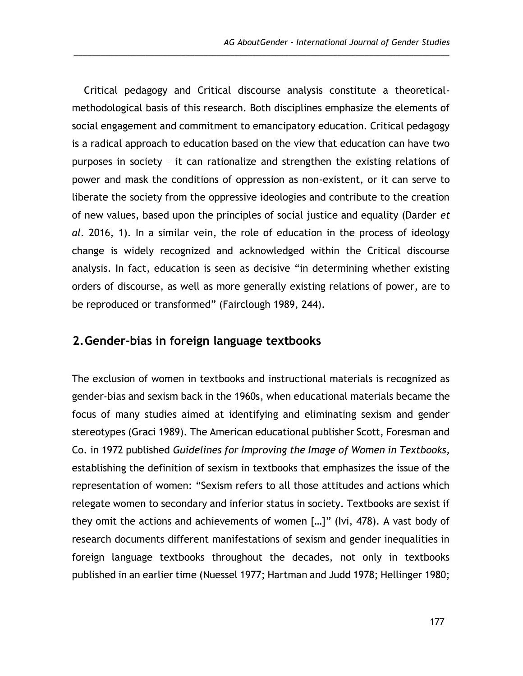Critical pedagogy and Critical discourse analysis constitute a theoreticalmethodological basis of this research. Both disciplines emphasize the elements of social engagement and commitment to emancipatory education. Critical pedagogy is a radical approach to education based on the view that education can have two purposes in society – it can rationalize and strengthen the existing relations of power and mask the conditions of oppression as non-existent, or it can serve to liberate the society from the oppressive ideologies and contribute to the creation of new values, based upon the principles of social justice and equality (Darder *et al*. 2016, 1). In a similar vein, the role of education in the process of ideology change is widely recognized and acknowledged within the Critical discourse analysis. In fact, education is seen as decisive "in determining whether existing orders of discourse, as well as more generally existing relations of power, are to be reproduced or transformed" (Fairclough 1989, 244).

\_\_\_\_\_\_\_\_\_\_\_\_\_\_\_\_\_\_\_\_\_\_\_\_\_\_\_\_\_\_\_\_\_\_\_\_\_\_\_\_\_\_\_\_\_\_\_\_\_\_\_\_\_\_\_\_\_\_\_\_\_\_\_\_\_\_\_\_\_\_\_\_\_\_\_\_\_\_\_\_\_\_\_\_

## **2.Gender-bias in foreign language textbooks**

The exclusion of women in textbooks and instructional materials is recognized as gender-bias and sexism back in the 1960s, when educational materials became the focus of many studies aimed at identifying and eliminating sexism and gender stereotypes (Graci 1989). The American educational publisher Scott, Foresman and Co. in 1972 published *Guidelines for Improving the Image of Women in Textbooks,* establishing the definition of sexism in textbooks that emphasizes the issue of the representation of women: "Sexism refers to all those attitudes and actions which relegate women to secondary and inferior status in society. Textbooks are sexist if they omit the actions and achievements of women […]" (Ivi, 478). A vast body of research documents different manifestations of sexism and gender inequalities in foreign language textbooks throughout the decades, not only in textbooks published in an earlier time (Nuessel 1977; Hartman and Judd 1978; Hellinger 1980;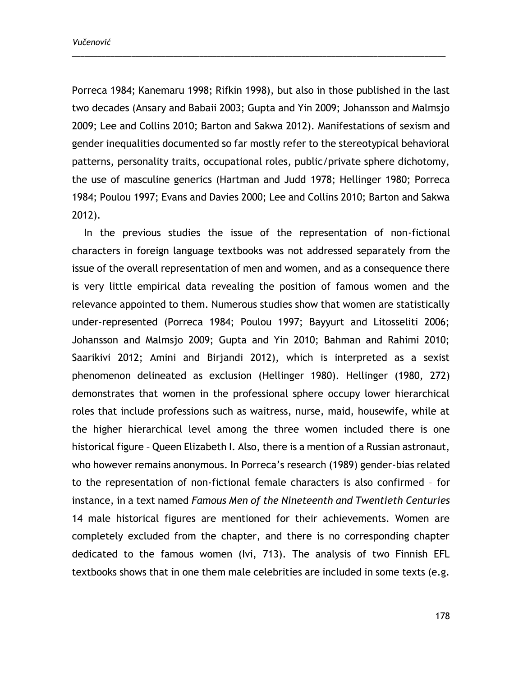Porreca 1984; Kanemaru 1998; Rifkin 1998), but also in those published in the last two decades (Ansary and Babaii 2003; Gupta and Yin 2009; Johansson and Malmsjo 2009; Lee and Collins 2010; Barton and Sakwa 2012). Manifestations of sexism and gender inequalities documented so far mostly refer to the stereotypical behavioral patterns, personality traits, occupational roles, public/private sphere dichotomy, the use of masculine generics (Hartman and Judd 1978; Hellinger 1980; Porreca 1984; Poulou 1997; Evans and Davies 2000; Lee and Collins 2010; Barton and Sakwa 2012).

\_\_\_\_\_\_\_\_\_\_\_\_\_\_\_\_\_\_\_\_\_\_\_\_\_\_\_\_\_\_\_\_\_\_\_\_\_\_\_\_\_\_\_\_\_\_\_\_\_\_\_\_\_\_\_\_\_\_\_\_\_\_\_\_\_\_\_\_\_\_\_\_\_\_\_\_\_\_\_\_\_\_\_\_\_\_\_\_

In the previous studies the issue of the representation of non-fictional characters in foreign language textbooks was not addressed separately from the issue of the overall representation of men and women, and as a consequence there is very little empirical data revealing the position of famous women and the relevance appointed to them. Numerous studies show that women are statistically under-represented (Porreca 1984; Poulou 1997; Bayyurt and Litosseliti 2006; Johansson and Malmsjo 2009; Gupta and Yin 2010; Bahman and Rahimi 2010; Saarikivi 2012; Amini and Birjandi 2012), which is interpreted as a sexist phenomenon delineated as exclusion (Hellinger 1980). Hellinger (1980, 272) demonstrates that women in the professional sphere occupy lower hierarchical roles that include professions such as waitress, nurse, maid, housewife, while at the higher hierarchical level among the three women included there is one historical figure – Queen Elizabeth I. Also, there is a mention of a Russian astronaut, who however remains anonymous. In Porreca's research (1989) gender-bias related to the representation of non-fictional female characters is also confirmed – for instance, in a text named *Famous Men of the Nineteenth and Twentieth Centuries* 14 male historical figures are mentioned for their achievements. Women are completely excluded from the chapter, and there is no corresponding chapter dedicated to the famous women (Ivi, 713). The analysis of two Finnish EFL textbooks shows that in one them male celebrities are included in some texts (e.g.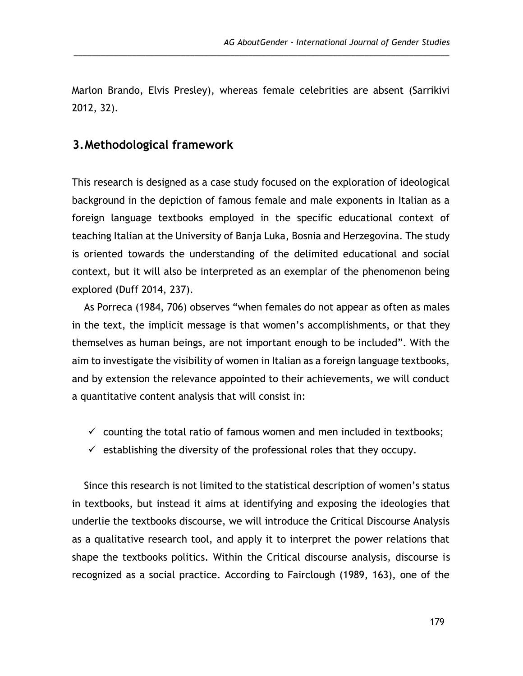Marlon Brando, Elvis Presley), whereas female celebrities are absent (Sarrikivi 2012, 32).

\_\_\_\_\_\_\_\_\_\_\_\_\_\_\_\_\_\_\_\_\_\_\_\_\_\_\_\_\_\_\_\_\_\_\_\_\_\_\_\_\_\_\_\_\_\_\_\_\_\_\_\_\_\_\_\_\_\_\_\_\_\_\_\_\_\_\_\_\_\_\_\_\_\_\_\_\_\_\_\_\_\_\_\_

## **3.Methodological framework**

This research is designed as a case study focused on the exploration of ideological background in the depiction of famous female and male exponents in Italian as a foreign language textbooks employed in the specific educational context of teaching Italian at the University of Banja Luka, Bosnia and Herzegovina. The study is oriented towards the understanding of the delimited educational and social context, but it will also be interpreted as an exemplar of the phenomenon being explored (Duff 2014, 237).

As Porreca (1984, 706) observes "when females do not appear as often as males in the text, the implicit message is that women's accomplishments, or that they themselves as human beings, are not important enough to be included". With the aim to investigate the visibility of women in Italian as a foreign language textbooks, and by extension the relevance appointed to their achievements, we will conduct a quantitative content analysis that will consist in:

- $\checkmark$  counting the total ratio of famous women and men included in textbooks;
- $\checkmark$  establishing the diversity of the professional roles that they occupy.

Since this research is not limited to the statistical description of women's status in textbooks, but instead it aims at identifying and exposing the ideologies that underlie the textbooks discourse, we will introduce the Critical Discourse Analysis as a qualitative research tool, and apply it to interpret the power relations that shape the textbooks politics. Within the Critical discourse analysis, discourse is recognized as a social practice. According to Fairclough (1989, 163), one of the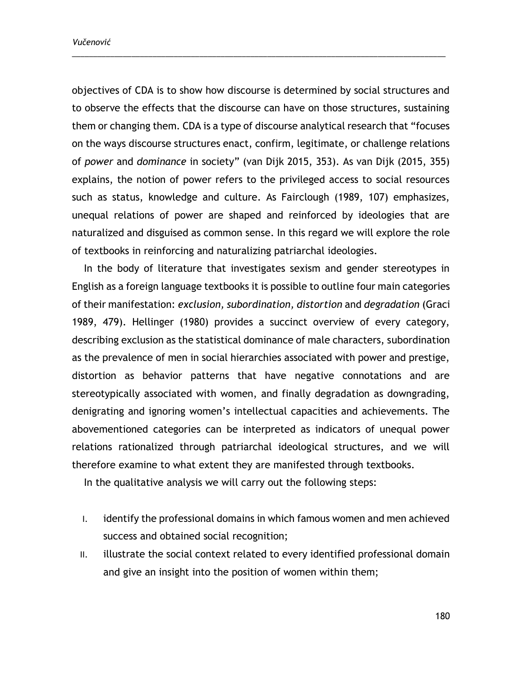objectives of CDA is to show how discourse is determined by social structures and to observe the effects that the discourse can have on those structures, sustaining them or changing them. CDA is a type of discourse analytical research that "focuses on the ways discourse structures enact, confirm, legitimate, or challenge relations of *power* and *dominance* in society" (van Dijk 2015, 353). As van Dijk (2015, 355) explains, the notion of power refers to the privileged access to social resources such as status, knowledge and culture. As Fairclough (1989, 107) emphasizes, unequal relations of power are shaped and reinforced by ideologies that are naturalized and disguised as common sense. In this regard we will explore the role of textbooks in reinforcing and naturalizing patriarchal ideologies.

\_\_\_\_\_\_\_\_\_\_\_\_\_\_\_\_\_\_\_\_\_\_\_\_\_\_\_\_\_\_\_\_\_\_\_\_\_\_\_\_\_\_\_\_\_\_\_\_\_\_\_\_\_\_\_\_\_\_\_\_\_\_\_\_\_\_\_\_\_\_\_\_\_\_\_\_\_\_\_\_\_\_\_\_\_\_\_\_

In the body of literature that investigates sexism and gender stereotypes in English as a foreign language textbooks it is possible to outline four main categories of their manifestation: *exclusion, subordination, distortion* and *degradation* (Graci 1989, 479). Hellinger (1980) provides a succinct overview of every category, describing exclusion as the statistical dominance of male characters, subordination as the prevalence of men in social hierarchies associated with power and prestige, distortion as behavior patterns that have negative connotations and are stereotypically associated with women, and finally degradation as downgrading, denigrating and ignoring women's intellectual capacities and achievements. The abovementioned categories can be interpreted as indicators of unequal power relations rationalized through patriarchal ideological structures, and we will therefore examine to what extent they are manifested through textbooks.

In the qualitative analysis we will carry out the following steps:

- I. identify the professional domains in which famous women and men achieved success and obtained social recognition;
- II. illustrate the social context related to every identified professional domain and give an insight into the position of women within them;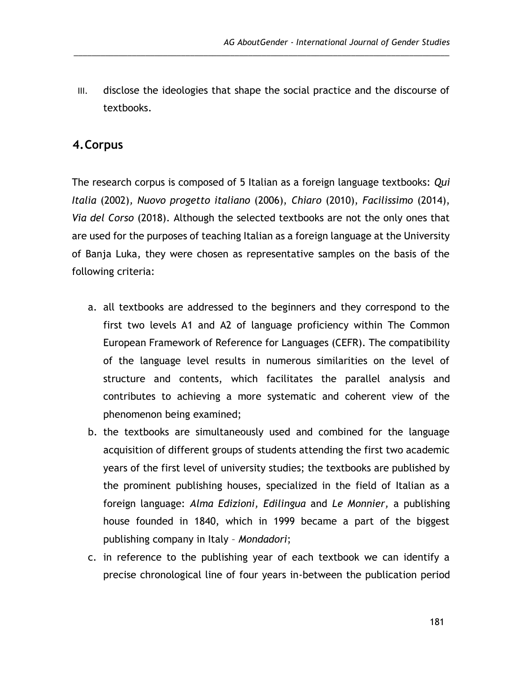III. disclose the ideologies that shape the social practice and the discourse of textbooks.

\_\_\_\_\_\_\_\_\_\_\_\_\_\_\_\_\_\_\_\_\_\_\_\_\_\_\_\_\_\_\_\_\_\_\_\_\_\_\_\_\_\_\_\_\_\_\_\_\_\_\_\_\_\_\_\_\_\_\_\_\_\_\_\_\_\_\_\_\_\_\_\_\_\_\_\_\_\_\_\_\_\_\_\_

# **4.Corpus**

The research corpus is composed of 5 Italian as a foreign language textbooks: *Qui Italia* (2002)*, Nuovo progetto italiano* (2006), *Chiaro* (2010), *Facilissimo* (2014), *Via del Corso* (2018). Although the selected textbooks are not the only ones that are used for the purposes of teaching Italian as a foreign language at the University of Banja Luka, they were chosen as representative samples on the basis of the following criteria:

- a. all textbooks are addressed to the beginners and they correspond to the first two levels A1 and A2 of language proficiency within The Common European Framework of Reference for Languages (CEFR). The compatibility of the language level results in numerous similarities on the level of structure and contents, which facilitates the parallel analysis and contributes to achieving a more systematic and coherent view of the phenomenon being examined;
- b. the textbooks are simultaneously used and combined for the language acquisition of different groups of students attending the first two academic years of the first level of university studies; the textbooks are published by the prominent publishing houses, specialized in the field of Italian as a foreign language: *Alma Edizioni, Edilingua* and *Le Monnier,* a publishing house founded in 1840, which in 1999 became a part of the biggest publishing company in Italy – *Mondadori*;
- c. in reference to the publishing year of each textbook we can identify a precise chronological line of four years in-between the publication period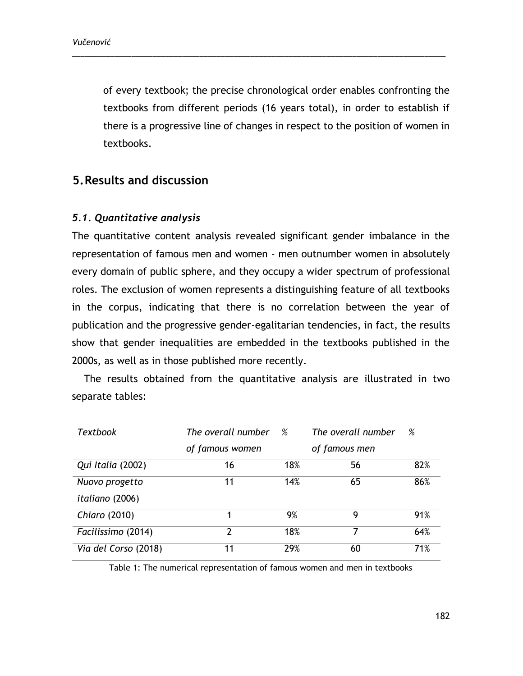of every textbook; the precise chronological order enables confronting the textbooks from different periods (16 years total), in order to establish if there is a progressive line of changes in respect to the position of women in textbooks.

\_\_\_\_\_\_\_\_\_\_\_\_\_\_\_\_\_\_\_\_\_\_\_\_\_\_\_\_\_\_\_\_\_\_\_\_\_\_\_\_\_\_\_\_\_\_\_\_\_\_\_\_\_\_\_\_\_\_\_\_\_\_\_\_\_\_\_\_\_\_\_\_\_\_\_\_\_\_\_\_\_\_\_\_\_\_\_\_

# **5.Results and discussion**

## *5.1. Quantitative analysis*

The quantitative content analysis revealed significant gender imbalance in the representation of famous men and women - men outnumber women in absolutely every domain of public sphere, and they occupy a wider spectrum of professional roles. The exclusion of women represents a distinguishing feature of all textbooks in the corpus, indicating that there is no correlation between the year of publication and the progressive gender-egalitarian tendencies, in fact, the results show that gender inequalities are embedded in the textbooks published in the 2000s, as well as in those published more recently.

The results obtained from the quantitative analysis are illustrated in two separate tables:

| <b>Textbook</b>        | The overall number | %   | The overall number | %   |
|------------------------|--------------------|-----|--------------------|-----|
|                        | of famous women    |     | of famous men      |     |
| Qui Italia (2002)      | 16                 | 18% | 56                 | 82% |
| Nuovo progetto         | 11                 | 14% | 65                 | 86% |
| <i>italiano</i> (2006) |                    |     |                    |     |
| Chiaro (2010)          |                    | 9%  | 9                  | 91% |
| Facilissimo (2014)     | 2                  | 18% | 7                  | 64% |
| Via del Corso (2018)   | 11                 | 29% | 60                 | 71% |

Table 1: The numerical representation of famous women and men in textbooks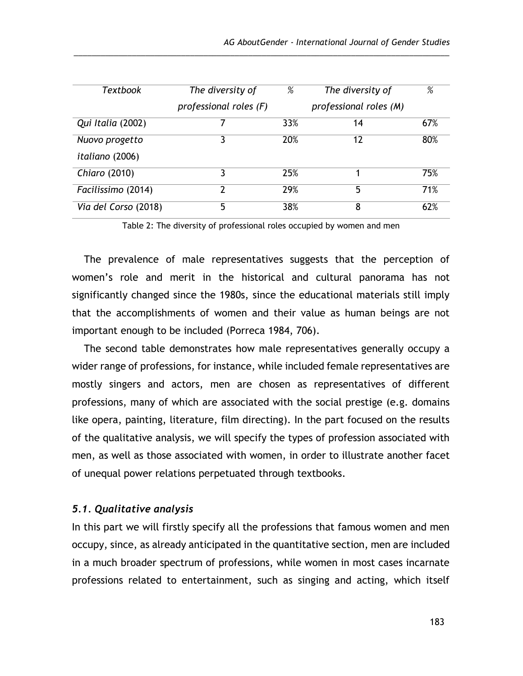| Textbook               | The diversity of       | %   | The diversity of       | %   |
|------------------------|------------------------|-----|------------------------|-----|
|                        | professional roles (F) |     | professional roles (M) |     |
| Qui Italia (2002)      |                        | 33% | 14                     | 67% |
| Nuovo progetto         | 3                      | 20% | 12                     | 80% |
| <i>italiano</i> (2006) |                        |     |                        |     |
| Chiaro (2010)          | 3                      | 25% |                        | 75% |
| Facilissimo (2014)     | 7                      | 29% | 5                      | 71% |
| Via del Corso (2018)   | 5                      | 38% | 8                      | 62% |

\_\_\_\_\_\_\_\_\_\_\_\_\_\_\_\_\_\_\_\_\_\_\_\_\_\_\_\_\_\_\_\_\_\_\_\_\_\_\_\_\_\_\_\_\_\_\_\_\_\_\_\_\_\_\_\_\_\_\_\_\_\_\_\_\_\_\_\_\_\_\_\_\_\_\_\_\_\_\_\_\_\_\_\_

Table 2: The diversity of professional roles occupied by women and men

The prevalence of male representatives suggests that the perception of women's role and merit in the historical and cultural panorama has not significantly changed since the 1980s, since the educational materials still imply that the accomplishments of women and their value as human beings are not important enough to be included (Porreca 1984, 706).

The second table demonstrates how male representatives generally occupy a wider range of professions, for instance, while included female representatives are mostly singers and actors, men are chosen as representatives of different professions, many of which are associated with the social prestige (e.g. domains like opera, painting, literature, film directing). In the part focused on the results of the qualitative analysis, we will specify the types of profession associated with men, as well as those associated with women, in order to illustrate another facet of unequal power relations perpetuated through textbooks.

### *5.1. Qualitative analysis*

In this part we will firstly specify all the professions that famous women and men occupy, since, as already anticipated in the quantitative section, men are included in a much broader spectrum of professions, while women in most cases incarnate professions related to entertainment, such as singing and acting, which itself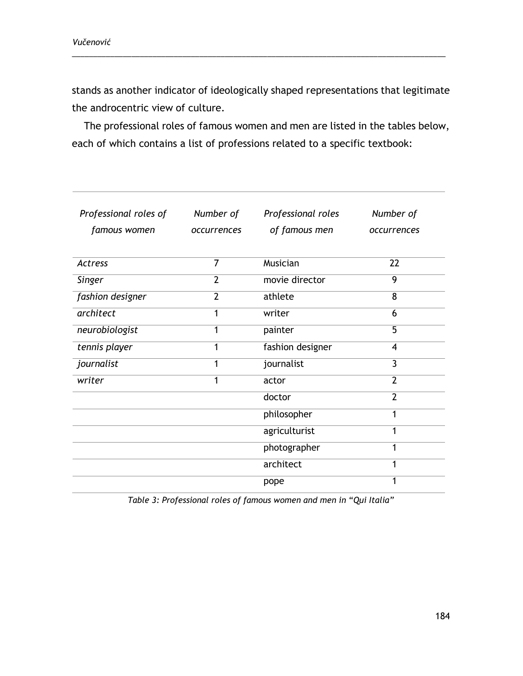stands as another indicator of ideologically shaped representations that legitimate the androcentric view of culture.

\_\_\_\_\_\_\_\_\_\_\_\_\_\_\_\_\_\_\_\_\_\_\_\_\_\_\_\_\_\_\_\_\_\_\_\_\_\_\_\_\_\_\_\_\_\_\_\_\_\_\_\_\_\_\_\_\_\_\_\_\_\_\_\_\_\_\_\_\_\_\_\_\_\_\_\_\_\_\_\_\_\_\_\_\_\_\_\_

The professional roles of famous women and men are listed in the tables below, each of which contains a list of professions related to a specific textbook:

| Professional roles of<br>famous women | Number of<br>occurrences  | Professional roles<br>of famous men | Number of<br>occurrences |
|---------------------------------------|---------------------------|-------------------------------------|--------------------------|
| Actress                               | $\overline{\overline{7}}$ | Musician                            | 22                       |
| Singer                                | $\overline{2}$            | movie director                      | 9                        |
| fashion designer                      | $\overline{2}$            | athlete                             | 8                        |
| architect                             | 1                         | writer                              | 6                        |
| neurobiologist                        | 1                         | painter                             | 5                        |
| tennis player                         | 1                         | fashion designer                    | 4                        |
| journalist                            | 1                         | journalist                          | 3                        |
| writer                                | 1                         | actor                               | $\overline{2}$           |
|                                       |                           | doctor                              | $\overline{2}$           |
|                                       |                           | philosopher                         | 1                        |
|                                       |                           | agriculturist                       | 1                        |
|                                       |                           | photographer                        | 1                        |
|                                       |                           | architect                           | 1                        |
|                                       |                           | pope                                | 1                        |

*Table 3: Professional roles of famous women and men in* "*Qui Italia"*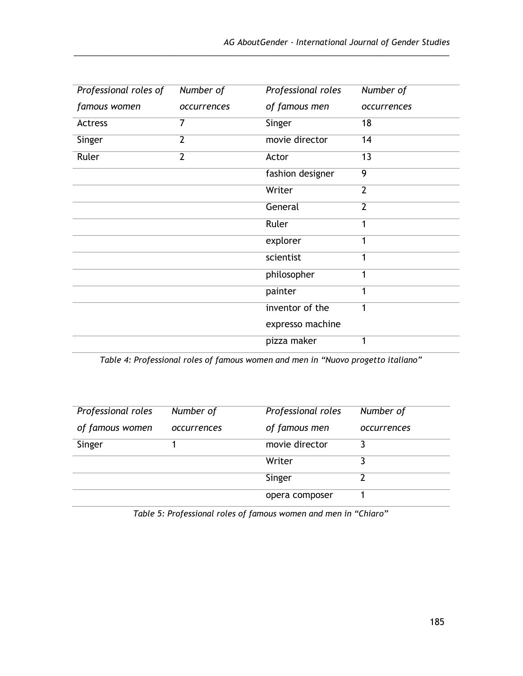| Professional roles of | Number of      | Professional roles | Number of       |
|-----------------------|----------------|--------------------|-----------------|
| famous women          | occurrences    | of famous men      | occurrences     |
| Actress               | 7              | Singer             | 18              |
| Singer                | $\overline{2}$ | movie director     | 14              |
| Ruler                 | $\overline{2}$ | Actor              | $\overline{13}$ |
|                       |                | fashion designer   | 9               |
|                       |                | Writer             | $\overline{2}$  |
|                       |                | General            | $\overline{2}$  |
|                       |                | Ruler              | 1               |
|                       |                | explorer           | 1               |
|                       |                | scientist          | 1               |
|                       |                | philosopher        | 1               |
|                       |                | painter            | 1               |
|                       |                | inventor of the    | 1               |
|                       |                | expresso machine   |                 |
|                       |                | pizza maker        | 1               |

\_\_\_\_\_\_\_\_\_\_\_\_\_\_\_\_\_\_\_\_\_\_\_\_\_\_\_\_\_\_\_\_\_\_\_\_\_\_\_\_\_\_\_\_\_\_\_\_\_\_\_\_\_\_\_\_\_\_\_\_\_\_\_\_\_\_\_\_\_\_\_\_\_\_\_\_\_\_\_\_\_\_\_\_

| Professional roles | Number of   | Professional roles | Number of   |
|--------------------|-------------|--------------------|-------------|
| of famous women    | occurrences | of famous men      | occurrences |
| Singer             |             | movie director     |             |
|                    |             | Writer             |             |
|                    |             | Singer             | າ           |
|                    |             | opera composer     |             |

*Table 5: Professional roles of famous women and men in "Chiaro"*

*Table 4: Professional roles of famous women and men in "Nuovo progetto italiano"*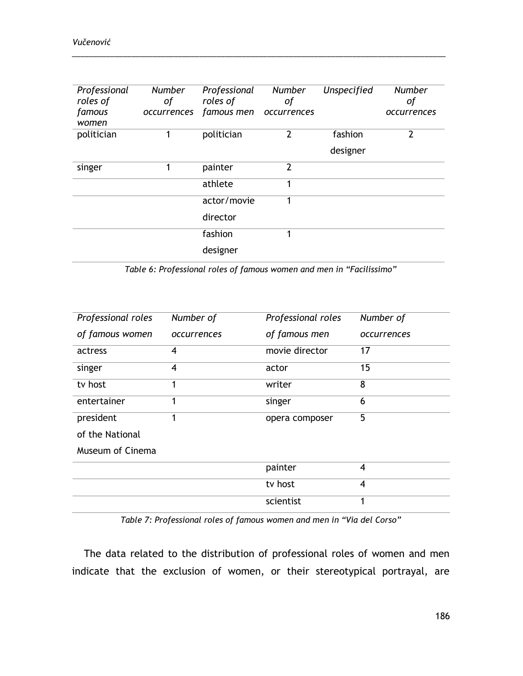*Vučenović*

| Professional<br>roles of<br>famous<br>women | <b>Number</b><br>οf<br>occurrences | Professional<br>roles of<br>famous men | <b>Number</b><br>оf<br>occurrences | Unspecified | <b>Number</b><br>οf<br>occurrences |
|---------------------------------------------|------------------------------------|----------------------------------------|------------------------------------|-------------|------------------------------------|
| politician                                  |                                    | politician                             | 2                                  | fashion     | $\mathfrak{p}$                     |
|                                             |                                    |                                        |                                    | designer    |                                    |
| singer                                      |                                    | painter                                | $\overline{2}$                     |             |                                    |
|                                             |                                    | athlete                                |                                    |             |                                    |
|                                             |                                    | actor/movie                            | 1                                  |             |                                    |
|                                             |                                    | director                               |                                    |             |                                    |
|                                             |                                    | fashion                                |                                    |             |                                    |
|                                             |                                    | designer                               |                                    |             |                                    |

\_\_\_\_\_\_\_\_\_\_\_\_\_\_\_\_\_\_\_\_\_\_\_\_\_\_\_\_\_\_\_\_\_\_\_\_\_\_\_\_\_\_\_\_\_\_\_\_\_\_\_\_\_\_\_\_\_\_\_\_\_\_\_\_\_\_\_\_\_\_\_\_\_\_\_\_\_\_\_\_\_\_\_\_\_\_\_\_

*Table 6: Professional roles of famous women and men in "Facilissimo"*

| Professional roles | Number of   | Professional roles | Number of      |
|--------------------|-------------|--------------------|----------------|
| of famous women    | occurrences | of famous men      | occurrences    |
| actress            | 4           | movie director     | 17             |
| singer             | 4           | actor              | 15             |
| tv host            | 1           | writer             | 8              |
| entertainer        | 1           | singer             | 6              |
| president          | 1           | opera composer     | 5              |
| of the National    |             |                    |                |
| Museum of Cinema   |             |                    |                |
|                    |             | painter            | $\overline{4}$ |
|                    |             | tv host            | $\overline{4}$ |
|                    |             | scientist          | 1              |

*Table 7: Professional roles of famous women and men in "Via del Corso"*

The data related to the distribution of professional roles of women and men indicate that the exclusion of women, or their stereotypical portrayal, are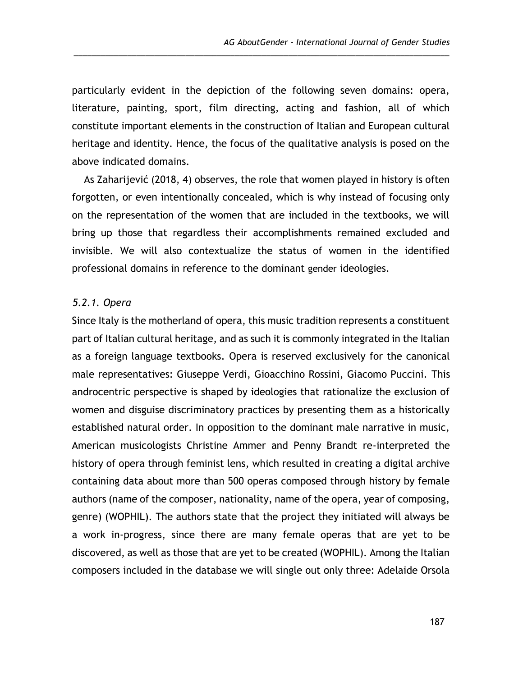particularly evident in the depiction of the following seven domains: opera, literature, painting, sport, film directing, acting and fashion, all of which constitute important elements in the construction of Italian and European cultural heritage and identity. Hence, the focus of the qualitative analysis is posed on the above indicated domains.

\_\_\_\_\_\_\_\_\_\_\_\_\_\_\_\_\_\_\_\_\_\_\_\_\_\_\_\_\_\_\_\_\_\_\_\_\_\_\_\_\_\_\_\_\_\_\_\_\_\_\_\_\_\_\_\_\_\_\_\_\_\_\_\_\_\_\_\_\_\_\_\_\_\_\_\_\_\_\_\_\_\_\_\_

As Zaharijević (2018, 4) observes, the role that women played in history is often forgotten, or even intentionally concealed, which is why instead of focusing only on the representation of the women that are included in the textbooks, we will bring up those that regardless their accomplishments remained excluded and invisible. We will also contextualize the status of women in the identified professional domains in reference to the dominant gender ideologies.

#### *5.2.1. Opera*

Since Italy is the motherland of opera, this music tradition represents a constituent part of Italian cultural heritage, and as such it is commonly integrated in the Italian as a foreign language textbooks. Opera is reserved exclusively for the canonical male representatives: Giuseppe Verdi, Gioacchino Rossini, Giacomo Puccini. This androcentric perspective is shaped by ideologies that rationalize the exclusion of women and disguise discriminatory practices by presenting them as a historically established natural order. In opposition to the dominant male narrative in music, American musicologists Christine Ammer and Penny Brandt re-interpreted the history of opera through feminist lens, which resulted in creating a digital archive containing data about more than 500 operas composed through history by female authors (name of the composer, nationality, name of the opera, year of composing, genre) (WOPHIL). The authors state that the project they initiated will always be a work in-progress, since there are many female operas that are yet to be discovered, as well as those that are yet to be created (WOPHIL). Among the Italian composers included in the database we will single out only three: Adelaide Orsola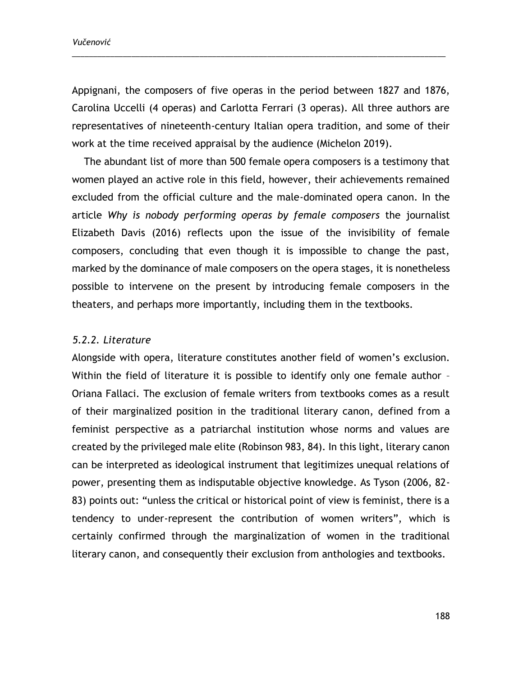*Vučenović*

Appignani, the composers of five operas in the period between 1827 and 1876, Carolina Uccelli (4 operas) and Carlotta Ferrari (3 operas). All three authors are representatives of nineteenth-century Italian opera tradition, and some of their work at the time received appraisal by the audience (Michelon 2019).

\_\_\_\_\_\_\_\_\_\_\_\_\_\_\_\_\_\_\_\_\_\_\_\_\_\_\_\_\_\_\_\_\_\_\_\_\_\_\_\_\_\_\_\_\_\_\_\_\_\_\_\_\_\_\_\_\_\_\_\_\_\_\_\_\_\_\_\_\_\_\_\_\_\_\_\_\_\_\_\_\_\_\_\_\_\_\_\_

The abundant list of more than 500 female opera composers is a testimony that women played an active role in this field, however, their achievements remained excluded from the official culture and the male-dominated opera canon. In the article *Why is nobody performing operas by female composers* the journalist Elizabeth Davis (2016) reflects upon the issue of the invisibility of female composers, concluding that even though it is impossible to change the past, marked by the dominance of male composers on the opera stages, it is nonetheless possible to intervene on the present by introducing female composers in the theaters, and perhaps more importantly, including them in the textbooks.

### *5.2.2. Literature*

Alongside with opera, literature constitutes another field of women's exclusion. Within the field of literature it is possible to identify only one female author -Oriana Fallaci. The exclusion of female writers from textbooks comes as a result of their marginalized position in the traditional literary canon, defined from a feminist perspective as a patriarchal institution whose norms and values are created by the privileged male elite (Robinson 983, 84). In this light, literary canon can be interpreted as ideological instrument that legitimizes unequal relations of power, presenting them as indisputable objective knowledge. As Tyson (2006, 82- 83) points out: "unless the critical or historical point of view is feminist, there is a tendency to under-represent the contribution of women writers", which is certainly confirmed through the marginalization of women in the traditional literary canon, and consequently their exclusion from anthologies and textbooks.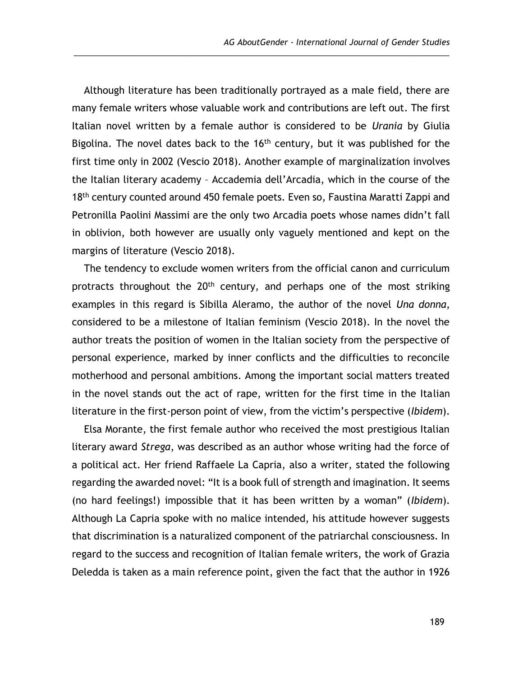Although literature has been traditionally portrayed as a male field, there are many female writers whose valuable work and contributions are left out. The first Italian novel written by a female author is considered to be *Urania* by Giulia Bigolina. The novel dates back to the 16<sup>th</sup> century, but it was published for the first time only in 2002 (Vescio 2018). Another example of marginalization involves the Italian literary academy – Accademia dell'Arcadia, which in the course of the 18<sup>th</sup> century counted around 450 female poets. Even so, Faustina Maratti Zappi and Petronilla Paolini Massimi are the only two Arcadia poets whose names didn't fall in oblivion, both however are usually only vaguely mentioned and kept on the margins of literature (Vescio 2018).

\_\_\_\_\_\_\_\_\_\_\_\_\_\_\_\_\_\_\_\_\_\_\_\_\_\_\_\_\_\_\_\_\_\_\_\_\_\_\_\_\_\_\_\_\_\_\_\_\_\_\_\_\_\_\_\_\_\_\_\_\_\_\_\_\_\_\_\_\_\_\_\_\_\_\_\_\_\_\_\_\_\_\_\_

The tendency to exclude women writers from the official canon and curriculum protracts throughout the 20<sup>th</sup> century, and perhaps one of the most striking examples in this regard is Sibilla Aleramo, the author of the novel *Una donna*, considered to be a milestone of Italian feminism (Vescio 2018). In the novel the author treats the position of women in the Italian society from the perspective of personal experience, marked by inner conflicts and the difficulties to reconcile motherhood and personal ambitions. Among the important social matters treated in the novel stands out the act of rape, written for the first time in the Italian literature in the first-person point of view, from the victim's perspective (*Ibidem*).

Elsa Morante, the first female author who received the most prestigious Italian literary award *Strega*, was described as an author whose writing had the force of a political act. Her friend Raffaele La Capria, also a writer, stated the following regarding the awarded novel: "It is a book full of strength and imagination. It seems (no hard feelings!) impossible that it has been written by a woman" (*Ibidem*). Although La Capria spoke with no malice intended, his attitude however suggests that discrimination is a naturalized component of the patriarchal consciousness. In regard to the success and recognition of Italian female writers, the work of Grazia Deledda is taken as a main reference point, given the fact that the author in 1926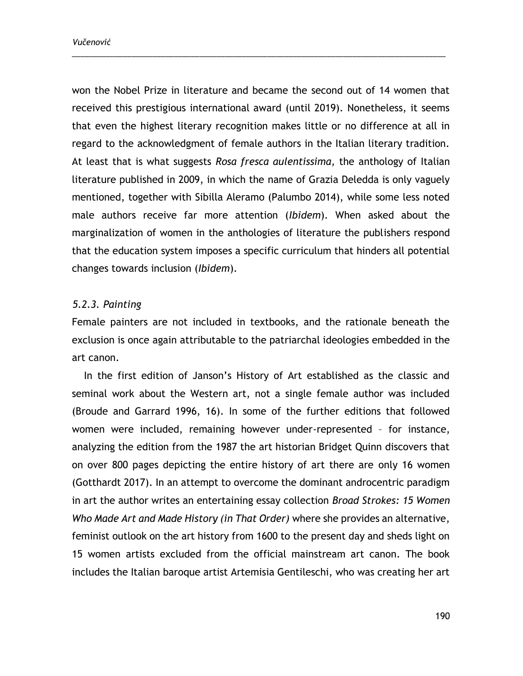won the Nobel Prize in literature and became the second out of 14 women that received this prestigious international award (until 2019). Nonetheless, it seems that even the highest literary recognition makes little or no difference at all in regard to the acknowledgment of female authors in the Italian literary tradition. At least that is what suggests *Rosa fresca aulentissima,* the anthology of Italian literature published in 2009, in which the name of Grazia Deledda is only vaguely mentioned, together with Sibilla Aleramo (Palumbo 2014), while some less noted male authors receive far more attention (*Ibidem*). When asked about the marginalization of women in the anthologies of literature the publishers respond that the education system imposes a specific curriculum that hinders all potential changes towards inclusion (*Ibidem*).

\_\_\_\_\_\_\_\_\_\_\_\_\_\_\_\_\_\_\_\_\_\_\_\_\_\_\_\_\_\_\_\_\_\_\_\_\_\_\_\_\_\_\_\_\_\_\_\_\_\_\_\_\_\_\_\_\_\_\_\_\_\_\_\_\_\_\_\_\_\_\_\_\_\_\_\_\_\_\_\_\_\_\_\_\_\_\_\_

### *5.2.3. Painting*

Female painters are not included in textbooks, and the rationale beneath the exclusion is once again attributable to the patriarchal ideologies embedded in the art canon.

In the first edition of Janson's History of Art established as the classic and seminal work about the Western art, not a single female author was included (Broude and Garrard 1996, 16). In some of the further editions that followed women were included, remaining however under-represented – for instance, analyzing the edition from the 1987 the art historian Bridget Quinn discovers that on over 800 pages depicting the entire history of art there are only 16 women (Gotthardt 2017). In an attempt to overcome the dominant androcentric paradigm in art the author writes an entertaining essay collection *Broad Strokes: 15 Women Who Made Art and Made History (in That Order)* where she provides an alternative, feminist outlook on the art history from 1600 to the present day and sheds light on 15 women artists excluded from the official mainstream art canon. The book includes the Italian baroque artist Artemisia Gentileschi, who was creating her art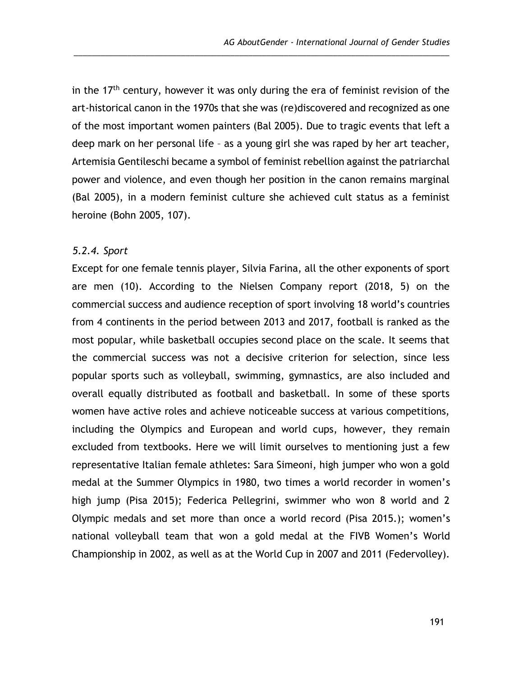in the  $17<sup>th</sup>$  century, however it was only during the era of feminist revision of the art-historical canon in the 1970s that she was (re)discovered and recognized as one of the most important women painters (Bal 2005). Due to tragic events that left a deep mark on her personal life – as a young girl she was raped by her art teacher, Artemisia Gentileschi became a symbol of feminist rebellion against the patriarchal power and violence, and even though her position in the canon remains marginal (Bal 2005), in a modern feminist culture she achieved cult status as a feminist heroine (Bohn 2005, 107).

\_\_\_\_\_\_\_\_\_\_\_\_\_\_\_\_\_\_\_\_\_\_\_\_\_\_\_\_\_\_\_\_\_\_\_\_\_\_\_\_\_\_\_\_\_\_\_\_\_\_\_\_\_\_\_\_\_\_\_\_\_\_\_\_\_\_\_\_\_\_\_\_\_\_\_\_\_\_\_\_\_\_\_\_

#### *5.2.4. Sport*

Except for one female tennis player, Silvia Farina, all the other exponents of sport are men (10). According to the Nielsen Company report (2018, 5) on the commercial success and audience reception of sport involving 18 world's countries from 4 continents in the period between 2013 and 2017, football is ranked as the most popular, while basketball occupies second place on the scale. It seems that the commercial success was not a decisive criterion for selection, since less popular sports such as volleyball, swimming, gymnastics, are also included and overall equally distributed as football and basketball. In some of these sports women have active roles and achieve noticeable success at various competitions, including the Olympics and European and world cups, however, they remain excluded from textbooks. Here we will limit ourselves to mentioning just a few representative Italian female athletes: Sara Simeoni, high jumper who won a gold medal at the Summer Olympics in 1980, two times a world recorder in women's high jump (Pisa 2015); Federica Pellegrini, swimmer who won 8 world and 2 Olympic medals and set more than once a world record (Pisa 2015.); women's national volleyball team that won a gold medal at the FIVB Women's World Championship in 2002, as well as at the World Cup in 2007 and 2011 (Federvolley).

191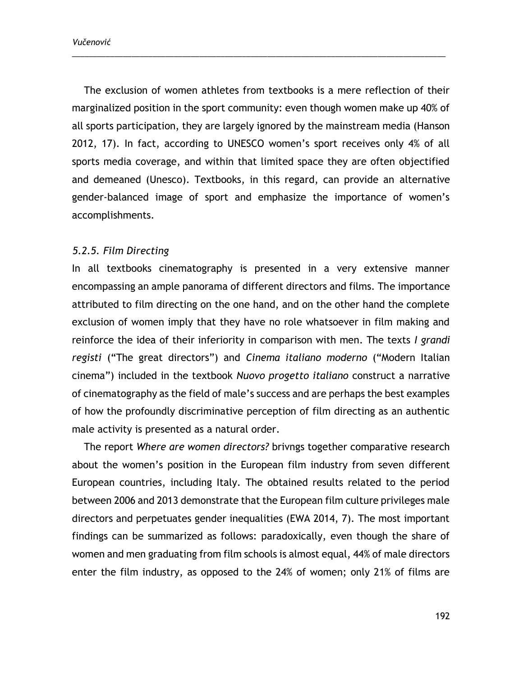*Vučenović*

The exclusion of women athletes from textbooks is a mere reflection of their marginalized position in the sport community: even though women make up 40% of all sports participation, they are largely ignored by the mainstream media (Hanson 2012, 17). In fact, according to UNESCO women's sport receives only 4% of all sports media coverage, and within that limited space they are often objectified and demeaned (Unesco). Textbooks, in this regard, can provide an alternative gender-balanced image of sport and emphasize the importance of women's accomplishments.

\_\_\_\_\_\_\_\_\_\_\_\_\_\_\_\_\_\_\_\_\_\_\_\_\_\_\_\_\_\_\_\_\_\_\_\_\_\_\_\_\_\_\_\_\_\_\_\_\_\_\_\_\_\_\_\_\_\_\_\_\_\_\_\_\_\_\_\_\_\_\_\_\_\_\_\_\_\_\_\_\_\_\_\_\_\_\_\_

### *5.2.5. Film Directing*

In all textbooks cinematography is presented in a very extensive manner encompassing an ample panorama of different directors and films. The importance attributed to film directing on the one hand, and on the other hand the complete exclusion of women imply that they have no role whatsoever in film making and reinforce the idea of their inferiority in comparison with men. The texts *I grandi registi* ("The great directors") and *Cinema italiano moderno* ("Modern Italian cinema") included in the textbook *Nuovo progetto italiano* construct a narrative of cinematography as the field of male's success and are perhaps the best examples of how the profoundly discriminative perception of film directing as an authentic male activity is presented as a natural order.

The report *Where are women directors?* brivngs together comparative research about the women's position in the European film industry from seven different European countries, including Italy. The obtained results related to the period between 2006 and 2013 demonstrate that the European film culture privileges male directors and perpetuates gender inequalities (EWA 2014, 7). The most important findings can be summarized as follows: paradoxically, even though the share of women and men graduating from film schools is almost equal, 44% of male directors enter the film industry, as opposed to the 24% of women; only 21% of films are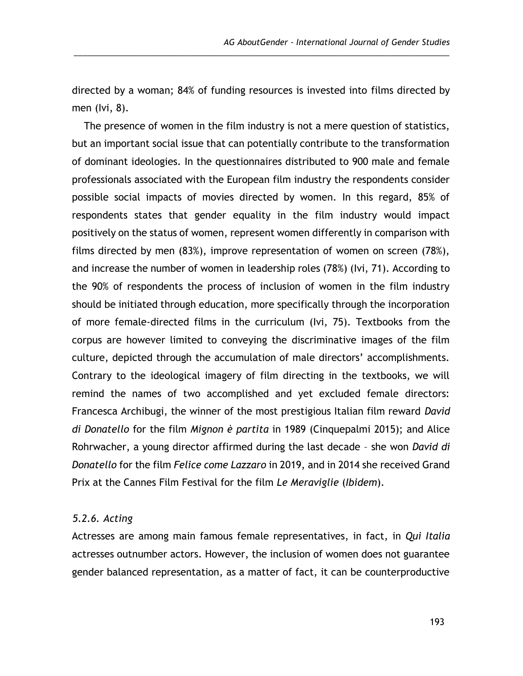directed by a woman; 84% of funding resources is invested into films directed by men (Ivi, 8).

\_\_\_\_\_\_\_\_\_\_\_\_\_\_\_\_\_\_\_\_\_\_\_\_\_\_\_\_\_\_\_\_\_\_\_\_\_\_\_\_\_\_\_\_\_\_\_\_\_\_\_\_\_\_\_\_\_\_\_\_\_\_\_\_\_\_\_\_\_\_\_\_\_\_\_\_\_\_\_\_\_\_\_\_

The presence of women in the film industry is not a mere question of statistics, but an important social issue that can potentially contribute to the transformation of dominant ideologies. In the questionnaires distributed to 900 male and female professionals associated with the European film industry the respondents consider possible social impacts of movies directed by women. In this regard, 85% of respondents states that gender equality in the film industry would impact positively on the status of women, represent women differently in comparison with films directed by men (83%), improve representation of women on screen (78%), and increase the number of women in leadership roles (78%) (Ivi, 71). According to the 90% of respondents the process of inclusion of women in the film industry should be initiated through education, more specifically through the incorporation of more female-directed films in the curriculum (Ivi, 75). Textbooks from the corpus are however limited to conveying the discriminative images of the film culture, depicted through the accumulation of male directors' accomplishments. Contrary to the ideological imagery of film directing in the textbooks, we will remind the names of two accomplished and yet excluded female directors: Francesca Archibugi, the winner of the most prestigious Italian film reward *David di Donatello* for the film *Mignon è partita* in 1989 (Cinquepalmi 2015); and Alice Rohrwacher, a young director affirmed during the last decade – she won *David di Donatello* for the film *Felice come Lazzaro* in 2019, and in 2014 she received Grand Prix at the Cannes Film Festival for the film *Le Meraviglie* (*Ibidem*).

### *5.2.6. Acting*

Actresses are among main famous female representatives, in fact, in *Qui Italia* actresses outnumber actors. However, the inclusion of women does not guarantee gender balanced representation, as a matter of fact, it can be counterproductive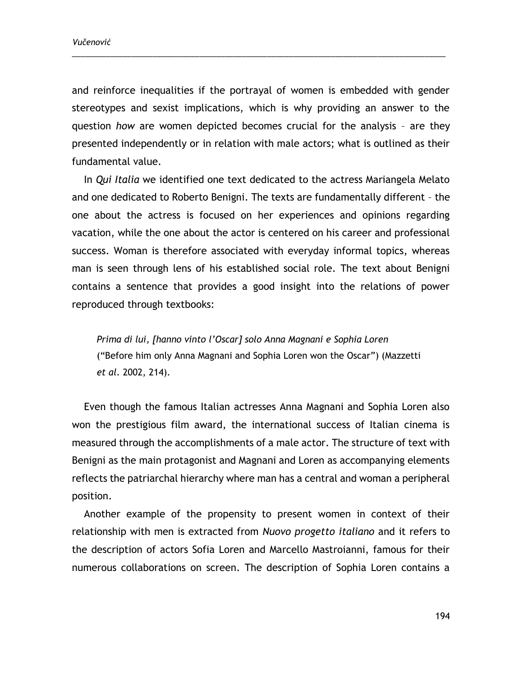and reinforce inequalities if the portrayal of women is embedded with gender stereotypes and sexist implications, which is why providing an answer to the question *how* are women depicted becomes crucial for the analysis – are they presented independently or in relation with male actors; what is outlined as their fundamental value.

\_\_\_\_\_\_\_\_\_\_\_\_\_\_\_\_\_\_\_\_\_\_\_\_\_\_\_\_\_\_\_\_\_\_\_\_\_\_\_\_\_\_\_\_\_\_\_\_\_\_\_\_\_\_\_\_\_\_\_\_\_\_\_\_\_\_\_\_\_\_\_\_\_\_\_\_\_\_\_\_\_\_\_\_\_\_\_\_

In *Qui Italia* we identified one text dedicated to the actress Mariangela Melato and one dedicated to Roberto Benigni. The texts are fundamentally different – the one about the actress is focused on her experiences and opinions regarding vacation, while the one about the actor is centered on his career and professional success. Woman is therefore associated with everyday informal topics, whereas man is seen through lens of his established social role. The text about Benigni contains a sentence that provides a good insight into the relations of power reproduced through textbooks:

*Prima di lui, [hanno vinto l'Oscar] solo Anna Magnani e Sophia Loren* ("Before him only Anna Magnani and Sophia Loren won the Oscar") (Mazzetti *et al*. 2002, 214).

Even though the famous Italian actresses Anna Magnani and Sophia Loren also won the prestigious film award, the international success of Italian cinema is measured through the accomplishments of a male actor. The structure of text with Benigni as the main protagonist and Magnani and Loren as accompanying elements reflects the patriarchal hierarchy where man has a central and woman a peripheral position.

Another example of the propensity to present women in context of their relationship with men is extracted from *Nuovo progetto italiano* and it refers to the description of actors Sofia Loren and Marcello Mastroianni, famous for their numerous collaborations on screen. The description of Sophia Loren contains a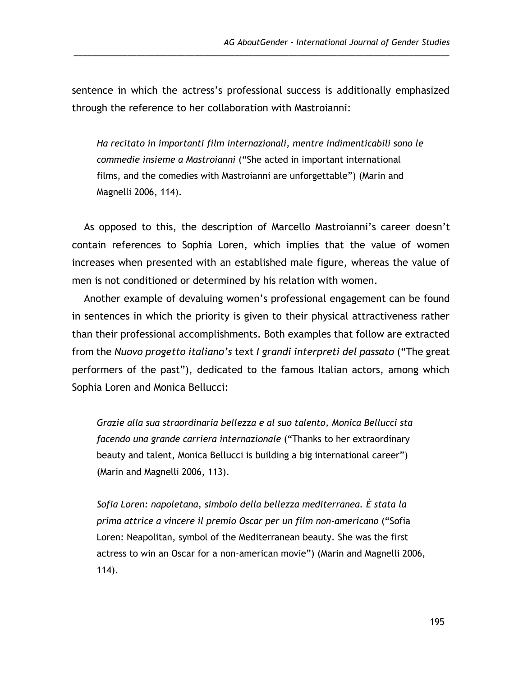sentence in which the actress's professional success is additionally emphasized through the reference to her collaboration with Mastroianni:

\_\_\_\_\_\_\_\_\_\_\_\_\_\_\_\_\_\_\_\_\_\_\_\_\_\_\_\_\_\_\_\_\_\_\_\_\_\_\_\_\_\_\_\_\_\_\_\_\_\_\_\_\_\_\_\_\_\_\_\_\_\_\_\_\_\_\_\_\_\_\_\_\_\_\_\_\_\_\_\_\_\_\_\_

*Ha recitato in importanti film internazionali, mentre indimenticabili sono le commedie insieme a Mastroianni* ("She acted in important international films, and the comedies with Mastroianni are unforgettable") (Marin and Magnelli 2006, 114).

As opposed to this, the description of Marcello Mastroianni's career doesn't contain references to Sophia Loren, which implies that the value of women increases when presented with an established male figure, whereas the value of men is not conditioned or determined by his relation with women.

Another example of devaluing women's professional engagement can be found in sentences in which the priority is given to their physical attractiveness rather than their professional accomplishments. Both examples that follow are extracted from the *Nuovo progetto italiano's* text *I grandi interpreti del passato* ("The great performers of the past"), dedicated to the famous Italian actors, among which Sophia Loren and Monica Bellucci:

*Grazie alla sua straordinaria bellezza e al suo talento, Monica Bellucci sta facendo una grande carriera internazionale* ("Thanks to her extraordinary beauty and talent, Monica Bellucci is building a big international career") (Marin and Magnelli 2006, 113).

*Sofia Loren: napoletana, simbolo della bellezza mediterranea. È stata la prima attrice a vincere il premio Oscar per un film non-americano* ("Sofia Loren: Neapolitan, symbol of the Mediterranean beauty. She was the first actress to win an Oscar for a non-american movie") (Marin and Magnelli 2006, 114).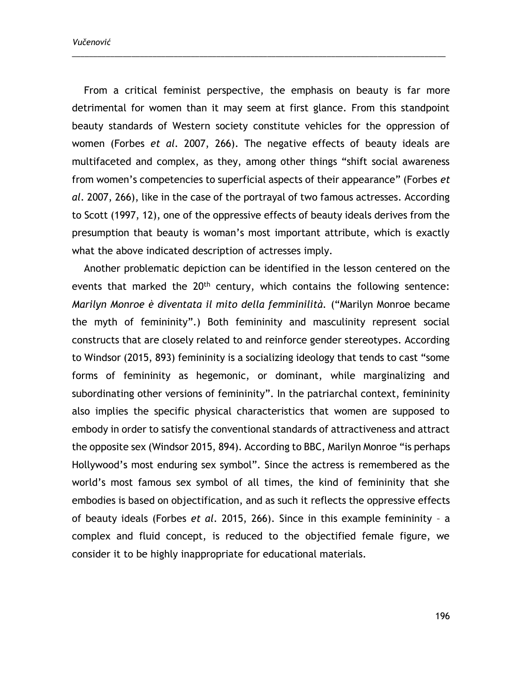*Vučenović*

From a critical feminist perspective, the emphasis on beauty is far more detrimental for women than it may seem at first glance. From this standpoint beauty standards of Western society constitute vehicles for the oppression of women (Forbes *et al*. 2007, 266). The negative effects of beauty ideals are multifaceted and complex, as they, among other things "shift social awareness from women's competencies to superficial aspects of their appearance" (Forbes *et al*. 2007, 266), like in the case of the portrayal of two famous actresses. According to Scott (1997, 12), one of the oppressive effects of beauty ideals derives from the presumption that beauty is woman's most important attribute, which is exactly what the above indicated description of actresses imply.

\_\_\_\_\_\_\_\_\_\_\_\_\_\_\_\_\_\_\_\_\_\_\_\_\_\_\_\_\_\_\_\_\_\_\_\_\_\_\_\_\_\_\_\_\_\_\_\_\_\_\_\_\_\_\_\_\_\_\_\_\_\_\_\_\_\_\_\_\_\_\_\_\_\_\_\_\_\_\_\_\_\_\_\_\_\_\_\_

Another problematic depiction can be identified in the lesson centered on the events that marked the 20<sup>th</sup> century, which contains the following sentence: *Marilyn Monroe è diventata il mito della femminilità.* ("Marilyn Monroe became the myth of femininity".) Both femininity and masculinity represent social constructs that are closely related to and reinforce gender stereotypes. According to Windsor (2015, 893) femininity is a socializing ideology that tends to cast "some forms of femininity as hegemonic, or dominant, while marginalizing and subordinating other versions of femininity". In the patriarchal context, femininity also implies the specific physical characteristics that women are supposed to embody in order to satisfy the conventional standards of attractiveness and attract the opposite sex (Windsor 2015, 894). According to BBC, Marilyn Monroe "is perhaps Hollywood's most enduring sex symbol". Since the actress is remembered as the world's most famous sex symbol of all times, the kind of femininity that she embodies is based on objectification, and as such it reflects the oppressive effects of beauty ideals (Forbes *et al*. 2015, 266). Since in this example femininity – a complex and fluid concept, is reduced to the objectified female figure, we consider it to be highly inappropriate for educational materials.

196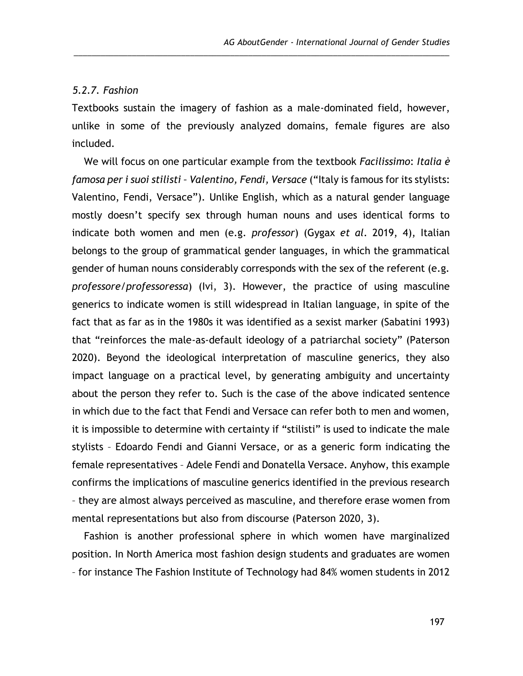### *5.2.7. Fashion*

Textbooks sustain the imagery of fashion as a male-dominated field, however, unlike in some of the previously analyzed domains, female figures are also included.

\_\_\_\_\_\_\_\_\_\_\_\_\_\_\_\_\_\_\_\_\_\_\_\_\_\_\_\_\_\_\_\_\_\_\_\_\_\_\_\_\_\_\_\_\_\_\_\_\_\_\_\_\_\_\_\_\_\_\_\_\_\_\_\_\_\_\_\_\_\_\_\_\_\_\_\_\_\_\_\_\_\_\_\_

We will focus on one particular example from the textbook *Facilissimo*: *Italia è famosa per i suoi stilisti – Valentino, Fendi, Versace* ("Italy is famous for its stylists: Valentino, Fendi, Versace"). Unlike English, which as a natural gender language mostly doesn't specify sex through human nouns and uses identical forms to indicate both women and men (e.g. *professor*) (Gygax *et al*. 2019, 4), Italian belongs to the group of grammatical gender languages, in which the grammatical gender of human nouns considerably corresponds with the sex of the referent (e.g. *professore/professoressa*) (Ivi, 3). However, the practice of using masculine generics to indicate women is still widespread in Italian language, in spite of the fact that as far as in the 1980s it was identified as a sexist marker (Sabatini 1993) that "reinforces the male-as-default ideology of a patriarchal society" (Paterson 2020). Beyond the ideological interpretation of masculine generics, they also impact language on a practical level, by generating ambiguity and uncertainty about the person they refer to. Such is the case of the above indicated sentence in which due to the fact that Fendi and Versace can refer both to men and women, it is impossible to determine with certainty if "stilisti" is used to indicate the male stylists – Edoardo Fendi and Gianni Versace, or as a generic form indicating the female representatives – Adele Fendi and Donatella Versace. Anyhow, this example confirms the implications of masculine generics identified in the previous research – they are almost always perceived as masculine, and therefore erase women from mental representations but also from discourse (Paterson 2020, 3).

Fashion is another professional sphere in which women have marginalized position. In North America most fashion design students and graduates are women – for instance The Fashion Institute of Technology had 84% women students in 2012

197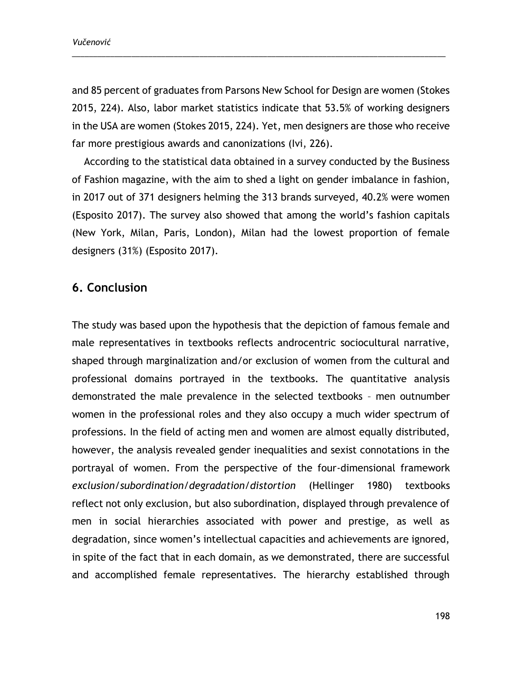and 85 percent of graduates from Parsons New School for Design are women (Stokes 2015, 224). Also, labor market statistics indicate that 53.5% of working designers in the USA are women (Stokes 2015, 224). Yet, men designers are those who receive far more prestigious awards and canonizations (Ivi, 226).

\_\_\_\_\_\_\_\_\_\_\_\_\_\_\_\_\_\_\_\_\_\_\_\_\_\_\_\_\_\_\_\_\_\_\_\_\_\_\_\_\_\_\_\_\_\_\_\_\_\_\_\_\_\_\_\_\_\_\_\_\_\_\_\_\_\_\_\_\_\_\_\_\_\_\_\_\_\_\_\_\_\_\_\_\_\_\_\_

According to the statistical data obtained in a survey conducted by the Business of Fashion magazine, with the aim to shed a light on gender imbalance in fashion, in 2017 out of 371 designers helming the 313 brands surveyed, 40.2% were women (Esposito 2017). The survey also showed that among the world's fashion capitals (New York, Milan, Paris, London), Milan had the lowest proportion of female designers (31%) (Esposito 2017).

## **6. Conclusion**

The study was based upon the hypothesis that the depiction of famous female and male representatives in textbooks reflects androcentric sociocultural narrative, shaped through marginalization and/or exclusion of women from the cultural and professional domains portrayed in the textbooks. The quantitative analysis demonstrated the male prevalence in the selected textbooks – men outnumber women in the professional roles and they also occupy a much wider spectrum of professions. In the field of acting men and women are almost equally distributed, however, the analysis revealed gender inequalities and sexist connotations in the portrayal of women. From the perspective of the four-dimensional framework *exclusion/subordination/degradation/distortion* (Hellinger 1980) textbooks reflect not only exclusion, but also subordination, displayed through prevalence of men in social hierarchies associated with power and prestige, as well as degradation, since women's intellectual capacities and achievements are ignored, in spite of the fact that in each domain, as we demonstrated, there are successful and accomplished female representatives. The hierarchy established through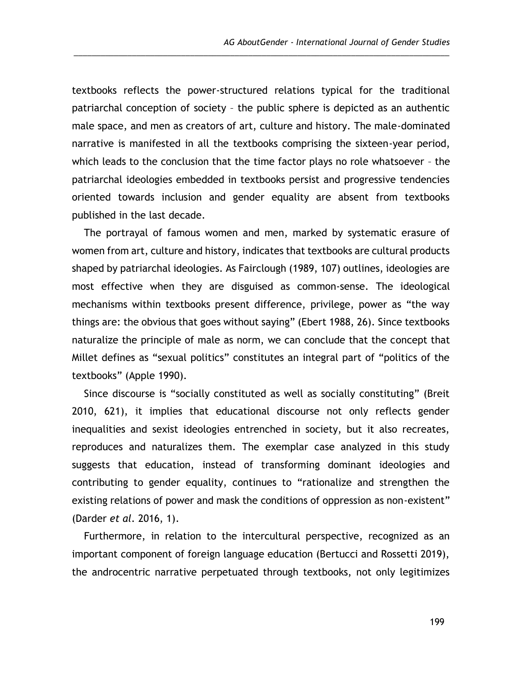textbooks reflects the power-structured relations typical for the traditional patriarchal conception of society – the public sphere is depicted as an authentic male space, and men as creators of art, culture and history. The male-dominated narrative is manifested in all the textbooks comprising the sixteen-year period, which leads to the conclusion that the time factor plays no role whatsoever – the patriarchal ideologies embedded in textbooks persist and progressive tendencies oriented towards inclusion and gender equality are absent from textbooks published in the last decade.

\_\_\_\_\_\_\_\_\_\_\_\_\_\_\_\_\_\_\_\_\_\_\_\_\_\_\_\_\_\_\_\_\_\_\_\_\_\_\_\_\_\_\_\_\_\_\_\_\_\_\_\_\_\_\_\_\_\_\_\_\_\_\_\_\_\_\_\_\_\_\_\_\_\_\_\_\_\_\_\_\_\_\_\_

The portrayal of famous women and men, marked by systematic erasure of women from art, culture and history, indicates that textbooks are cultural products shaped by patriarchal ideologies. As Fairclough (1989, 107) outlines, ideologies are most effective when they are disguised as common-sense. The ideological mechanisms within textbooks present difference, privilege, power as "the way things are: the obvious that goes without saying" (Ebert 1988, 26). Since textbooks naturalize the principle of male as norm, we can conclude that the concept that Millet defines as "sexual politics" constitutes an integral part of "politics of the textbooks" (Apple 1990).

Since discourse is "socially constituted as well as socially constituting" (Breit 2010, 621), it implies that educational discourse not only reflects gender inequalities and sexist ideologies entrenched in society, but it also recreates, reproduces and naturalizes them. The exemplar case analyzed in this study suggests that education, instead of transforming dominant ideologies and contributing to gender equality, continues to "rationalize and strengthen the existing relations of power and mask the conditions of oppression as non-existent" (Darder *et al*. 2016, 1).

Furthermore, in relation to the intercultural perspective, recognized as an important component of foreign language education (Bertucci and Rossetti 2019), the androcentric narrative perpetuated through textbooks, not only legitimizes

199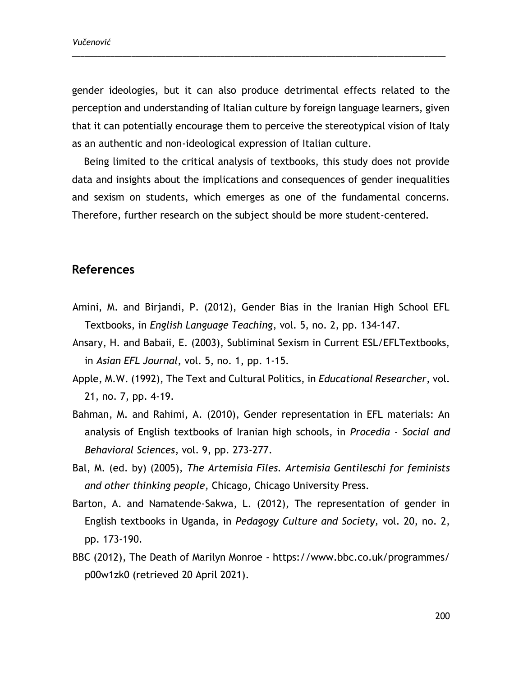gender ideologies, but it can also produce detrimental effects related to the perception and understanding of Italian culture by foreign language learners, given that it can potentially encourage them to perceive the stereotypical vision of Italy as an authentic and non-ideological expression of Italian culture.

\_\_\_\_\_\_\_\_\_\_\_\_\_\_\_\_\_\_\_\_\_\_\_\_\_\_\_\_\_\_\_\_\_\_\_\_\_\_\_\_\_\_\_\_\_\_\_\_\_\_\_\_\_\_\_\_\_\_\_\_\_\_\_\_\_\_\_\_\_\_\_\_\_\_\_\_\_\_\_\_\_\_\_\_\_\_\_\_

Being limited to the critical analysis of textbooks, this study does not provide data and insights about the implications and consequences of gender inequalities and sexism on students, which emerges as one of the fundamental concerns. Therefore, further research on the subject should be more student-centered.

## **References**

- Amini, M. and Birjandi, P. (2012), Gender Bias in the Iranian High School EFL Textbooks, in *English Language Teaching*, vol. 5, no. 2, pp. 134-147.
- Ansary, H. and Babaii, E. (2003), Subliminal Sexism in Current ESL/EFLTextbooks, in *Asian EFL Journal*, vol. 5, no. 1, pp. 1-15.
- Apple, M.W. (1992), The Text and Cultural Politics, in *Educational Researcher*, vol. 21, no. 7, pp. 4-19.
- Bahman, M. and Rahimi, A. (2010), Gender representation in EFL materials: An analysis of English textbooks of Iranian high schools, in *Procedia - Social and Behavioral Sciences*, vol. 9, pp. 273-277.
- Bal, M. (ed. by) (2005), *The Artemisia Files. Artemisia Gentileschi for feminists and other thinking people*, Chicago, Chicago University Press.
- Barton, A. and Namatende-Sakwa, L. (2012), The representation of gender in English textbooks in Uganda, in *Pedagogy Culture and Society,* vol. 20, no. 2, pp. 173-190.
- BBC (2012), The Death of Marilyn Monroe [https://www.bbc.co.uk/programmes/](https://www.bbc.co.uk/programmes/%20p00w1zk0)  [p00w1zk0](https://www.bbc.co.uk/programmes/%20p00w1zk0) (retrieved 20 April 2021).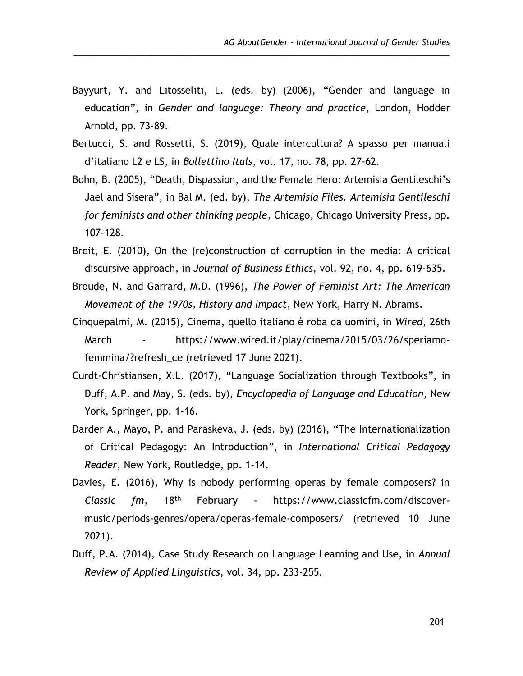Bayyurt, Y. and Litosseliti, L. (eds. by) (2006), "Gender and language in education", in *Gender and language: Theory and practice*, London, Hodder Arnold, pp. 73-89.

\_\_\_\_\_\_\_\_\_\_\_\_\_\_\_\_\_\_\_\_\_\_\_\_\_\_\_\_\_\_\_\_\_\_\_\_\_\_\_\_\_\_\_\_\_\_\_\_\_\_\_\_\_\_\_\_\_\_\_\_\_\_\_\_\_\_\_\_\_\_\_\_\_\_\_\_\_\_\_\_\_\_\_\_

- Bertucci, S. and Rossetti, S. (2019), Quale intercultura? A spasso per manuali d'italiano L2 e LS, in *Bollettino Itals*, vol. 17, no. 78, pp. 27-62.
- Bohn, B. (2005), "Death, Dispassion, and the Female Hero: Artemisia Gentileschi's Jael and Sisera", in Bal M. (ed. by), *The Artemisia Files. Artemisia Gentileschi for feminists and other thinking people*, Chicago, Chicago University Press, pp. 107-128.
- Breit, E. (2010), On the (re)construction of corruption in the media: A critical discursive approach, in *Journal of Business Ethics*, vol. 92, no. 4, pp. 619-635.
- Broude, N. and Garrard, M.D. (1996), *The Power of Feminist Art: The American Movement of the 1970s, History and Impact*, New York, Harry N. Abrams.
- Cinquepalmi, M. (2015), Cinema, quello italiano è roba da uomini, in *Wired*, 26th March - [https://www.wired.it/play/cinema/2015/03/26/speriamo](https://www.wired.it/play/cinema/2015/03/26/speriamo-femmina/?refresh_ce)[femmina/?refresh\\_ce](https://www.wired.it/play/cinema/2015/03/26/speriamo-femmina/?refresh_ce) (retrieved 17 June 2021).
- Curdt-Christiansen, X.L. (2017), "Language Socialization through Textbooks", in Duff, A.P. and May, S. (eds. by), *Encyclopedia of Language and Education*, New York, Springer, pp. 1-16.
- Darder A., Mayo, P. and Paraskeva, J. (eds. by) (2016), "The Internationalization of Critical Pedagogy: An Introduction", in *International Critical Pedagogy Reader*, New York, Routledge, pp. 1-14.
- Davies, E. (2016), Why is nobody performing operas by female composers? in *Classic fm*, 18th February - [https://www.classicfm.com/discover](https://www.classicfm.com/discover-music/periods-genres/opera/operas-female-composers/)[music/periods-genres/opera/operas-female-composers/](https://www.classicfm.com/discover-music/periods-genres/opera/operas-female-composers/) (retrieved 10 June 2021).
- Duff, P.A. (2014), Case Study Research on Language Learning and Use, in *Annual Review of Applied Linguistics*, vol. 34, pp. 233-255.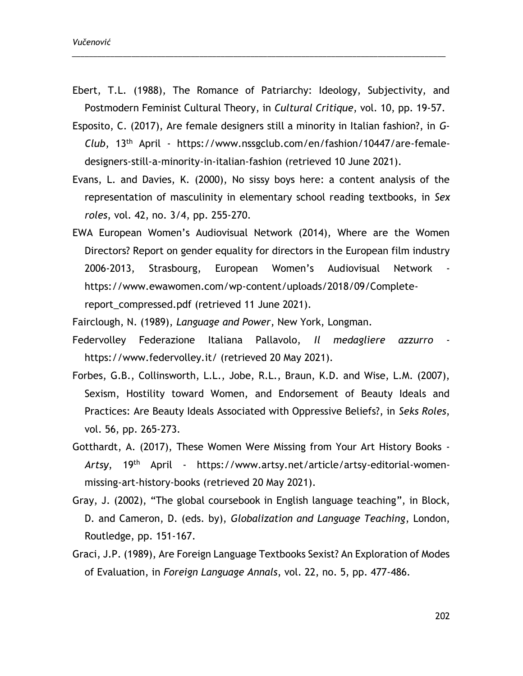Ebert, T.L. (1988), The Romance of Patriarchy: Ideology, Subjectivity, and Postmodern Feminist Cultural Theory, in *Cultural Critique*, vol. 10, pp. 19-57.

\_\_\_\_\_\_\_\_\_\_\_\_\_\_\_\_\_\_\_\_\_\_\_\_\_\_\_\_\_\_\_\_\_\_\_\_\_\_\_\_\_\_\_\_\_\_\_\_\_\_\_\_\_\_\_\_\_\_\_\_\_\_\_\_\_\_\_\_\_\_\_\_\_\_\_\_\_\_\_\_\_\_\_\_\_\_\_\_

- Esposito, C. (2017), Are female designers still a minority in Italian fashion?, in *G-Club*, 13th April - [https://www.nssgclub.com/en/fashion/10447/are-female](https://www.nssgclub.com/en/fashion/10447/are-female-designers-still-a-minority-in-italian-fashion)[designers-still-a-minority-in-italian-fashion](https://www.nssgclub.com/en/fashion/10447/are-female-designers-still-a-minority-in-italian-fashion) (retrieved 10 June 2021).
- Evans, L. and Davies, K. (2000), No sissy boys here: a content analysis of the representation of masculinity in elementary school reading textbooks, in *Sex roles*, vol. 42, no. 3/4, pp. 255-270.
- EWA European Women's Audiovisual Network (2014), Where are the Women Directors? Report on gender equality for directors in the European film industry 2006-2013, Strasbourg, European Women's Audiovisual Network [https://www.ewawomen.com/wp-content/uploads/2018/09/Complete](https://www.ewawomen.com/wp-content/uploads/2018/09/Complete-report_compressed.pdf)[report\\_compressed.pdf](https://www.ewawomen.com/wp-content/uploads/2018/09/Complete-report_compressed.pdf) (retrieved 11 June 2021).
- Fairclough, N. (1989), *Language and Power*, New York, Longman.
- Federvolley Federazione Italiana Pallavolo, *Il medagliere azzurro* <https://www.federvolley.it/> (retrieved 20 May 2021).
- Forbes, G.B., Collinsworth, L.L., Jobe, R.L., Braun, K.D. and Wise, L.M. (2007), Sexism, Hostility toward Women, and Endorsement of Beauty Ideals and Practices: Are Beauty Ideals Associated with Oppressive Beliefs?, in *Seks Roles*, vol. 56, pp. 265-273.
- Gotthardt, A. (2017), These Women Were Missing from Your Art History Books *Artsy*, 19th April - [https://www.artsy.net/article/artsy-editorial-women](https://www.artsy.net/article/artsy-editorial-women-missing-art-history-books)[missing-art-history-books](https://www.artsy.net/article/artsy-editorial-women-missing-art-history-books) (retrieved 20 May 2021).
- Gray, J. (2002), "The global coursebook in English language teaching", in Block, D. and Cameron, D. (eds. by), *Globalization and Language Teaching*, London, Routledge, pp. 151-167.
- Graci, J.P. (1989), Are Foreign Language Textbooks Sexist? An Exploration of Modes of Evaluation, in *Foreign Language Annals*, vol. 22, no. 5, pp. 477-486.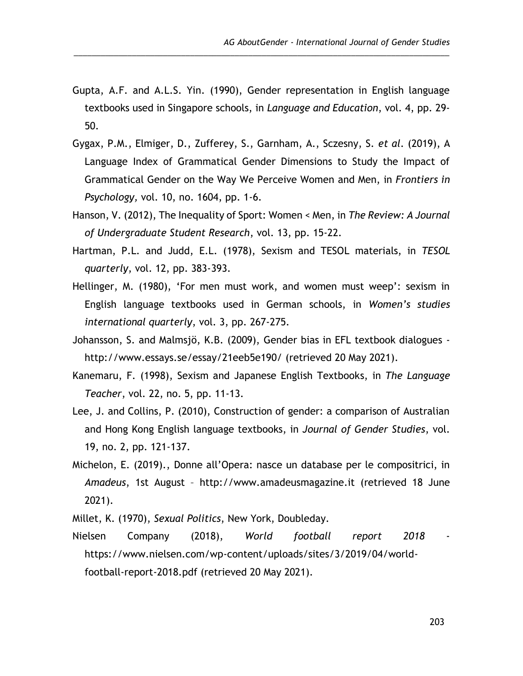Gupta, A.F. and A.L.S. Yin. (1990), Gender representation in English language textbooks used in Singapore schools, in *Language and Education*, vol. 4, pp. 29- 50.

\_\_\_\_\_\_\_\_\_\_\_\_\_\_\_\_\_\_\_\_\_\_\_\_\_\_\_\_\_\_\_\_\_\_\_\_\_\_\_\_\_\_\_\_\_\_\_\_\_\_\_\_\_\_\_\_\_\_\_\_\_\_\_\_\_\_\_\_\_\_\_\_\_\_\_\_\_\_\_\_\_\_\_\_

- Gygax, P.M., Elmiger, D., Zufferey, S., Garnham, A., Sczesny, S. *et al*. (2019), A Language Index of Grammatical Gender Dimensions to Study the Impact of Grammatical Gender on the Way We Perceive Women and Men, in *Frontiers in Psychology,* vol. 10, no. 1604, pp. 1-6.
- Hanson, V. (2012), The Inequality of Sport: Women < Men, in *The Review: A Journal of Undergraduate Student Research*, vol. 13, pp. 15-22.
- Hartman, P.L. and Judd, E.L. (1978), Sexism and TESOL materials, in *TESOL quarterly*, vol. 12, pp. 383-393.
- Hellinger, M. (1980), 'For men must work, and women must weep': sexism in English language textbooks used in German schools, in *Women's studies international quarterly*, vol. 3, pp. 267-275.
- Johansson, S. and Malmsjö, K.B. (2009), Gender bias in EFL textbook dialogues <http://www.essays.se/essay/21eeb5e190/> (retrieved 20 May 2021).
- Kanemaru, F. (1998), Sexism and Japanese English Textbooks, in *The Language Teacher*, vol. 22, no. 5, pp. 11-13.
- Lee, J. and Collins, P. (2010), Construction of gender: a comparison of Australian and Hong Kong English language textbooks, in *Journal of Gender Studies*, vol. 19, no. 2, pp. 121-137.
- Michelon, E. (2019)., Donne all'Opera: nasce un database per le compositrici, in *Amadeus*, 1st August – http://www.amadeusmagazine.it (retrieved 18 June 2021).
- Millet, K. (1970), *Sexual Politics*, New York, Doubleday.
- Nielsen Company (2018), *World football report 2018* [https://www.nielsen.com/wp-content/uploads/sites/3/2019/04/world](https://www.nielsen.com/wp-content/uploads/sites/3/2019/04/world-football-report-2018.pdf)[football-report-2018.pdf](https://www.nielsen.com/wp-content/uploads/sites/3/2019/04/world-football-report-2018.pdf) (retrieved 20 May 2021).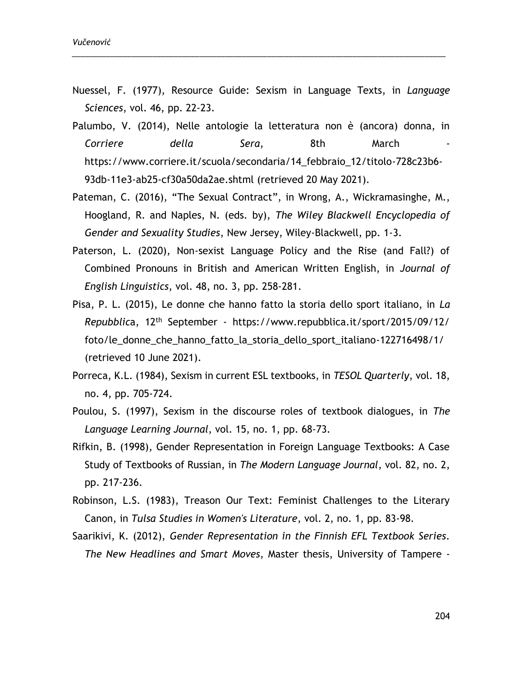Nuessel, F. (1977), Resource Guide: Sexism in Language Texts, in *Language Sciences*, vol. 46, pp. 22-23.

\_\_\_\_\_\_\_\_\_\_\_\_\_\_\_\_\_\_\_\_\_\_\_\_\_\_\_\_\_\_\_\_\_\_\_\_\_\_\_\_\_\_\_\_\_\_\_\_\_\_\_\_\_\_\_\_\_\_\_\_\_\_\_\_\_\_\_\_\_\_\_\_\_\_\_\_\_\_\_\_\_\_\_\_\_\_\_\_

- Palumbo, V. (2014), Nelle antologie la letteratura non è (ancora) donna, in *Corriere della Sera*, 8th March [https://www.corriere.it/scuola/secondaria/14\\_febbraio\\_12/titolo-728c23b6-](https://www.corriere.it/scuola/secondaria/14_febbraio_12/titolo-728c23b6-93db-11e3-ab25-cf30a50da2ae.shtml) [93db-11e3-ab25-cf30a50da2ae.shtml](https://www.corriere.it/scuola/secondaria/14_febbraio_12/titolo-728c23b6-93db-11e3-ab25-cf30a50da2ae.shtml) (retrieved 20 May 2021).
- Pateman, C. (2016), "The Sexual Contract", in Wrong, A., Wickramasinghe, M., Hoogland, R. and Naples, N. (eds. by), *The Wiley Blackwell Encyclopedia of Gender and Sexuality Studies*, New Jersey, Wiley-Blackwell, pp. 1-3.
- Paterson, L. (2020), Non-sexist Language Policy and the Rise (and Fall?) of Combined Pronouns in British and American Written English, in *Journal of English Linguistics*, vol. 48, no. 3, pp. 258-281.
- Pisa, P. L. (2015), Le donne che hanno fatto la storia dello sport italiano, in *La Repubblic*a, 12th September - [https://www.repubblica.it/sport/2015/09/12/](https://www.repubblica.it/sport/2015/09/12/%20foto/le_donne_che_hanno_fatto_la_storia_dello_sport_italiano-122716498/1/)  [foto/le\\_donne\\_che\\_hanno\\_fatto\\_la\\_storia\\_dello\\_sport\\_italiano-122716498/1/](https://www.repubblica.it/sport/2015/09/12/%20foto/le_donne_che_hanno_fatto_la_storia_dello_sport_italiano-122716498/1/) (retrieved 10 June 2021).
- Porreca, K.L. (1984), Sexism in current ESL textbooks, in *TESOL Quarterly*, vol. 18, no. 4, pp. 705-724.
- Poulou, S. (1997), Sexism in the discourse roles of textbook dialogues, in *The Language Learning Journal*, vol. 15, no. 1, pp. 68-73.
- Rifkin, B. (1998), Gender Representation in Foreign Language Textbooks: A Case Study of Textbooks of Russian, in *The Modern Language Journal*, vol. 82, no. 2, pp. 217-236.
- Robinson, L.S. (1983), Treason Our Text: Feminist Challenges to the Literary Canon, in *Tulsa Studies in Women's Literature*, vol. 2, no. 1, pp. 83-98.
- Saarikivi, K. (2012), *Gender Representation in the Finnish EFL Textbook Series. The New Headlines and Smart Moves,* Master thesis, University of Tampere -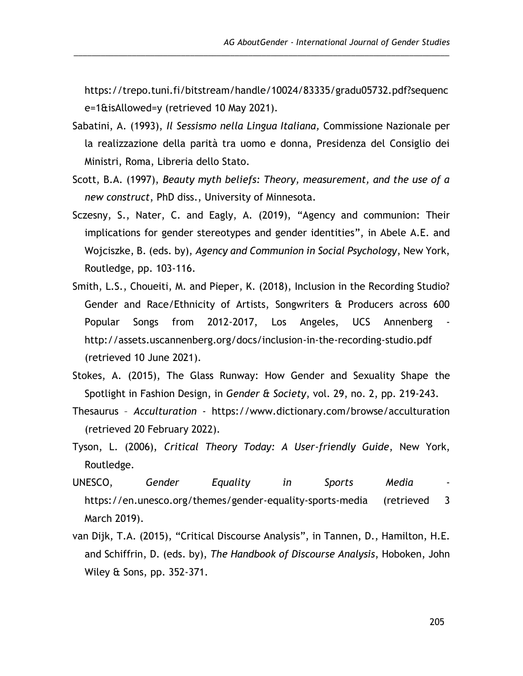[https://trepo.tuni.fi/bitstream/handle/10024/83335/gradu05732.pdf?sequenc](https://trepo.tuni.fi/bitstream/handle/10024/83335/gradu05732.pdf?sequence=1&isAllowed=y) [e=1&isAllowed=y](https://trepo.tuni.fi/bitstream/handle/10024/83335/gradu05732.pdf?sequence=1&isAllowed=y) (retrieved 10 May 2021).

\_\_\_\_\_\_\_\_\_\_\_\_\_\_\_\_\_\_\_\_\_\_\_\_\_\_\_\_\_\_\_\_\_\_\_\_\_\_\_\_\_\_\_\_\_\_\_\_\_\_\_\_\_\_\_\_\_\_\_\_\_\_\_\_\_\_\_\_\_\_\_\_\_\_\_\_\_\_\_\_\_\_\_\_

- Sabatini, A. (1993), *Il Sessismo nella Lingua Italiana,* Commissione Nazionale per la realizzazione della parità tra uomo e donna, Presidenza del Consiglio dei Ministri, Roma, Libreria dello Stato.
- Scott, B.A. (1997), *Beauty myth beliefs: Theory, measurement, and the use of a new construct*, PhD diss., University of Minnesota.
- Sczesny, S., Nater, C. and Eagly, A. (2019), "Agency and communion: Their implications for gender stereotypes and gender identities", in Abele A.E. and Wojciszke, B. (eds. by), *Agency and Communion in Social Psychology*, New York, Routledge, pp. 103-116.
- Smith, L.S., Choueiti, M. and Pieper, K. (2018), Inclusion in the Recording Studio? Gender and Race/Ethnicity of Artists, Songwriters & Producers across 600 Popular Songs from 2012-2017, Los Angeles, UCS Annenberg <http://assets.uscannenberg.org/docs/inclusion-in-the-recording-studio.pdf> (retrieved 10 June 2021).
- Stokes, A. (2015), The Glass Runway: How Gender and Sexuality Shape the Spotlight in Fashion Design, in *Gender & Society*, vol. 29, no. 2, pp. 219-243.
- Thesaurus *Acculturation* <https://www.dictionary.com/browse/acculturation> (retrieved 20 February 2022).
- Tyson, L. (2006), *Critical Theory Today: A User-friendly Guide*, New York, Routledge.
- UNESCO, *Gender Equality in Sports Media* <https://en.unesco.org/themes/gender-equality-sports-media> (retrieved 3 March 2019).
- van Dijk, T.A. (2015), "Critical Discourse Analysis", in Tannen, D., Hamilton, H.E. and Schiffrin, D. (eds. by), *The Handbook of Discourse Analysis*, Hoboken, John Wiley & Sons, pp. 352-371.